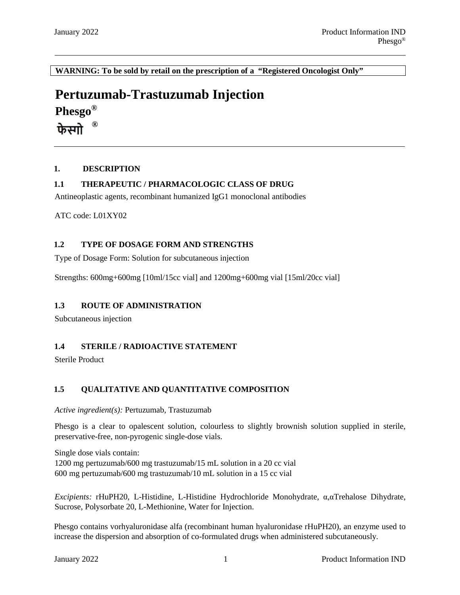**WARNING: To be sold by retail on the prescription of a "Registered Oncologist Only"**

# **Pertuzumab-Trastuzumab Injection**

**Phesgo®**

**®** फेस्राो

### **1. DESCRIPTION**

### **1.1 THERAPEUTIC / PHARMACOLOGIC CLASS OF DRUG**

Antineoplastic agents, recombinant humanized IgG1 monoclonal antibodies

ATC code: L01XY02

### **1.2 TYPE OF DOSAGE FORM AND STRENGTHS**

Type of Dosage Form: Solution for subcutaneous injection

Strengths: 600mg+600mg [10ml/15cc vial] and 1200mg+600mg vial [15ml/20cc vial]

### **1.3 ROUTE OF ADMINISTRATION**

Subcutaneous injection

### **1.4 STERILE / RADIOACTIVE STATEMENT**

Sterile Product

### **1.5 QUALITATIVE AND QUANTITATIVE COMPOSITION**

*Active ingredient(s):* Pertuzumab, Trastuzumab

Phesgo is a clear to opalescent solution, colourless to slightly brownish solution supplied in sterile, preservative-free, non-pyrogenic single-dose vials.

Single dose vials contain: 1200 mg pertuzumab/600 mg trastuzumab/15 mL solution in a 20 cc vial 600 mg pertuzumab/600 mg trastuzumab/10 mL solution in a 15 cc vial

*Excipients:* rHuPH20, L-Histidine, L-Histidine Hydrochloride Monohydrate, α,αTrehalose Dihydrate, Sucrose, Polysorbate 20, L-Methionine, Water for Injection.

Phesgo contains vorhyaluronidase alfa (recombinant human hyaluronidase rHuPH20), an enzyme used to increase the dispersion and absorption of co-formulated drugs when administered subcutaneously.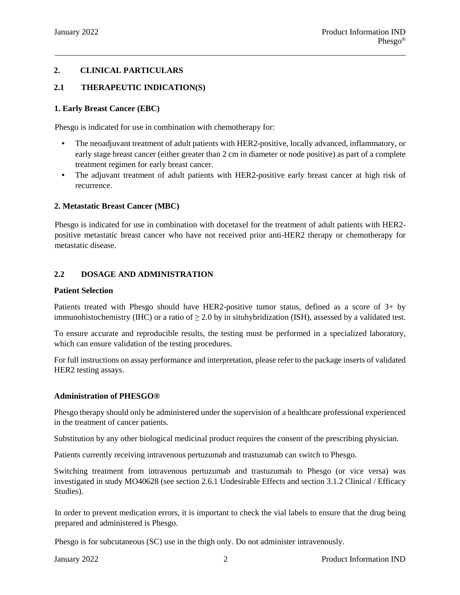### **2. CLINICAL PARTICULARS**

### **2.1 THERAPEUTIC INDICATION(S)**

#### **1. Early Breast Cancer (EBC)**

Phesgo is indicated for use in combination with chemotherapy for:

- The neoadjuvant treatment of adult patients with HER2-positive, locally advanced, inflammatory, or early stage breast cancer (either greater than 2 cm in diameter or node positive) as part of a complete treatment regimen for early breast cancer.
- The adjuvant treatment of adult patients with HER2-positive early breast cancer at high risk of recurrence.

#### **2. Metastatic Breast Cancer (MBC)**

Phesgo is indicated for use in combination with docetaxel for the treatment of adult patients with HER2 positive metastatic breast cancer who have not received prior anti-HER2 therapy or chemotherapy for metastatic disease.

#### **2.2 DOSAGE AND ADMINISTRATION**

#### **Patient Selection**

Patients treated with Phesgo should have HER2-positive tumor status, defined as a score of 3+ by immunohistochemistry (IHC) or a ratio of  $\geq 2.0$  by in situhybridization (ISH), assessed by a validated test.

To ensure accurate and reproducible results, the testing must be performed in a specialized laboratory, which can ensure validation of the testing procedures.

For full instructions on assay performance and interpretation, please refer to the package inserts of validated HER2 testing assays.

#### **Administration of PHESGO®**

Phesgo therapy should only be administered under the supervision of a healthcare professional experienced in the treatment of cancer patients.

Substitution by any other biological medicinal product requires the consent of the prescribing physician.

Patients currently receiving intravenous pertuzumab and trastuzumab can switch to Phesgo.

Switching treatment from intravenous pertuzumab and trastuzumab to Phesgo (or vice versa) was investigated in study MO40628 (see section 2.6.1 Undesirable Effects and section 3.1.2 Clinical / Efficacy Studies).

In order to prevent medication errors, it is important to check the vial labels to ensure that the drug being prepared and administered is Phesgo.

Phesgo is for subcutaneous (SC) use in the thigh only. Do not administer intravenously.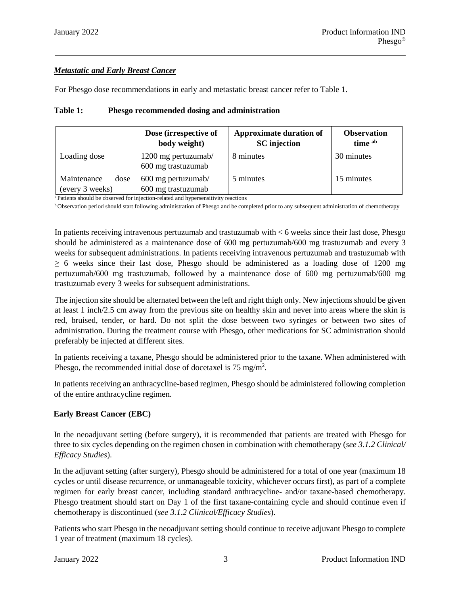# *Metastatic and Early Breast Cancer*

For Phesgo dose recommendations in early and metastatic breast cancer refer to Table 1.

|                                        | Dose (irrespective of<br>body weight)     | <b>Approximate duration of</b><br><b>SC</b> injection | <b>Observation</b><br>time ab |
|----------------------------------------|-------------------------------------------|-------------------------------------------------------|-------------------------------|
| Loading dose                           | 1200 mg pertuzumab/<br>600 mg trastuzumab | 8 minutes                                             | 30 minutes                    |
| Maintenance<br>dose<br>(every 3 weeks) | 600 mg pertuzumab/<br>600 mg trastuzumab  | 5 minutes                                             | 15 minutes                    |

### **Table 1: Phesgo recommended dosing and administration**

<sup>a</sup> Patients should be observed for injection-related and hypersensitivity reactions

<sup>b</sup> Observation period should start following administration of Phesgo and be completed prior to any subsequent administration of chemotherapy

In patients receiving intravenous pertuzumab and trastuzumab with < 6 weeks since their last dose, Phesgo should be administered as a maintenance dose of 600 mg pertuzumab/600 mg trastuzumab and every 3 weeks for subsequent administrations. In patients receiving intravenous pertuzumab and trastuzumab with  $\geq$  6 weeks since their last dose, Phesgo should be administered as a loading dose of 1200 mg pertuzumab/600 mg trastuzumab, followed by a maintenance dose of 600 mg pertuzumab/600 mg trastuzumab every 3 weeks for subsequent administrations.

The injection site should be alternated between the left and right thigh only. New injections should be given at least 1 inch/2.5 cm away from the previous site on healthy skin and never into areas where the skin is red, bruised, tender, or hard. Do not split the dose between two syringes or between two sites of administration. During the treatment course with Phesgo, other medications for SC administration should preferably be injected at different sites.

In patients receiving a taxane, Phesgo should be administered prior to the taxane. When administered with Phesgo, the recommended initial dose of docetaxel is  $75 \text{ mg/m}^2$ .

In patients receiving an anthracycline-based regimen, Phesgo should be administered following completion of the entire anthracycline regimen.

### **Early Breast Cancer (EBC)**

In the neoadjuvant setting (before surgery), it is recommended that patients are treated with Phesgo for three to six cycles depending on the regimen chosen in combination with chemotherapy (*see 3.1.2 Clinical/ Efficacy Studies*).

In the adjuvant setting (after surgery), Phesgo should be administered for a total of one year (maximum 18 cycles or until disease recurrence, or unmanageable toxicity, whichever occurs first), as part of a complete regimen for early breast cancer, including standard anthracycline- and/or taxane-based chemotherapy. Phesgo treatment should start on Day 1 of the first taxane-containing cycle and should continue even if chemotherapy is discontinued (*see 3.1.2 Clinical/Efficacy Studies*).

Patients who start Phesgo in the neoadjuvant setting should continue to receive adjuvant Phesgo to complete 1 year of treatment (maximum 18 cycles).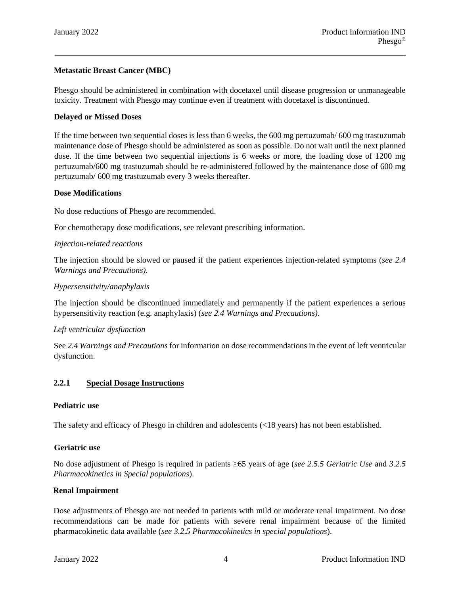# **Metastatic Breast Cancer (MBC)**

Phesgo should be administered in combination with docetaxel until disease progression or unmanageable toxicity. Treatment with Phesgo may continue even if treatment with docetaxel is discontinued.

#### **Delayed or Missed Doses**

If the time between two sequential doses is less than 6 weeks, the 600 mg pertuzumab/ 600 mg trastuzumab maintenance dose of Phesgo should be administered as soon as possible. Do not wait until the next planned dose. If the time between two sequential injections is 6 weeks or more, the loading dose of 1200 mg pertuzumab/600 mg trastuzumab should be re-administered followed by the maintenance dose of 600 mg pertuzumab/ 600 mg trastuzumab every 3 weeks thereafter.

#### **Dose Modifications**

No dose reductions of Phesgo are recommended.

For chemotherapy dose modifications, see relevant prescribing information.

#### *Injection-related reactions*

The injection should be slowed or paused if the patient experiences injection-related symptoms (*see 2.4 Warnings and Precautions)*.

### *Hypersensitivity/anaphylaxis*

The injection should be discontinued immediately and permanently if the patient experiences a serious hypersensitivity reaction (e.g. anaphylaxis) (*see 2.4 Warnings and Precautions)*.

#### *Left ventricular dysfunction*

See *2.4 Warnings and Precautions* for information on dose recommendations in the event of left ventricular dysfunction.

#### **2.2.1 Special Dosage Instructions**

#### **Pediatric use**

The safety and efficacy of Phesgo in children and adolescents (<18 years) has not been established.

#### **Geriatric use**

No dose adjustment of Phesgo is required in patients ≥65 years of age (*see 2.5.5 Geriatric Use* and *3.2.5 Pharmacokinetics in Special populations*).

#### **Renal Impairment**

Dose adjustments of Phesgo are not needed in patients with mild or moderate renal impairment. No dose recommendations can be made for patients with severe renal impairment because of the limited pharmacokinetic data available (*see 3.2.5 Pharmacokinetics in special populations*).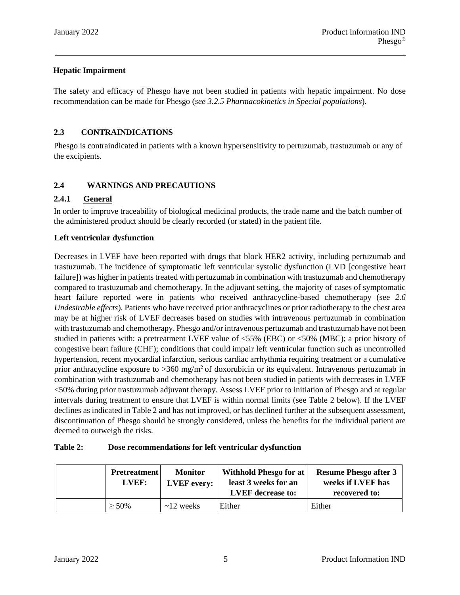# **Hepatic Impairment**

The safety and efficacy of Phesgo have not been studied in patients with hepatic impairment. No dose recommendation can be made for Phesgo (*see 3.2.5 Pharmacokinetics in Special populations*).

# **2.3 CONTRAINDICATIONS**

Phesgo is contraindicated in patients with a known hypersensitivity to pertuzumab, trastuzumab or any of the excipients.

# **2.4 WARNINGS AND PRECAUTIONS**

### **2.4.1 General**

In order to improve traceability of biological medicinal products, the trade name and the batch number of the administered product should be clearly recorded (or stated) in the patient file.

### **Left ventricular dysfunction**

Decreases in LVEF have been reported with drugs that block HER2 activity, including pertuzumab and trastuzumab. The incidence of symptomatic left ventricular systolic dysfunction (LVD [congestive heart failure]) was higher in patients treated with pertuzumab in combination with trastuzumab and chemotherapy compared to trastuzumab and chemotherapy. In the adjuvant setting, the majority of cases of symptomatic heart failure reported were in patients who received anthracycline-based chemotherapy (see *2.6 Undesirable effects*). Patients who have received prior anthracyclines or prior radiotherapy to the chest area may be at higher risk of LVEF decreases based on studies with intravenous pertuzumab in combination with trastuzumab and chemotherapy. Phesgo and/or intravenous pertuzumab and trastuzumab have not been studied in patients with: a pretreatment LVEF value of <55% (EBC) or <50% (MBC); a prior history of congestive heart failure (CHF); conditions that could impair left ventricular function such as uncontrolled hypertension, recent myocardial infarction, serious cardiac arrhythmia requiring treatment or a cumulative prior anthracycline exposure to  $>360 \text{ mg/m}^2$  of doxorubicin or its equivalent. Intravenous pertuzumab in combination with trastuzumab and chemotherapy has not been studied in patients with decreases in LVEF <50% during prior trastuzumab adjuvant therapy. Assess LVEF prior to initiation of Phesgo and at regular intervals during treatment to ensure that LVEF is within normal limits (see Table 2 below). If the LVEF declines as indicated in Table 2 and has not improved, or has declined further at the subsequent assessment, discontinuation of Phesgo should be strongly considered, unless the benefits for the individual patient are deemed to outweigh the risks.

#### **Table 2: Dose recommendations for left ventricular dysfunction**

| <b>Pretreatment</b><br>LVEF: | <b>Monitor</b><br><b>LVEF</b> every: | Withhold Phesgo for at<br>least 3 weeks for an<br><b>LVEF</b> decrease to: | <b>Resume Phesgo after 3</b><br>weeks if LVEF has<br>recovered to: |
|------------------------------|--------------------------------------|----------------------------------------------------------------------------|--------------------------------------------------------------------|
| $> 50\%$                     | $\sim$ 12 weeks                      | Either                                                                     | Either                                                             |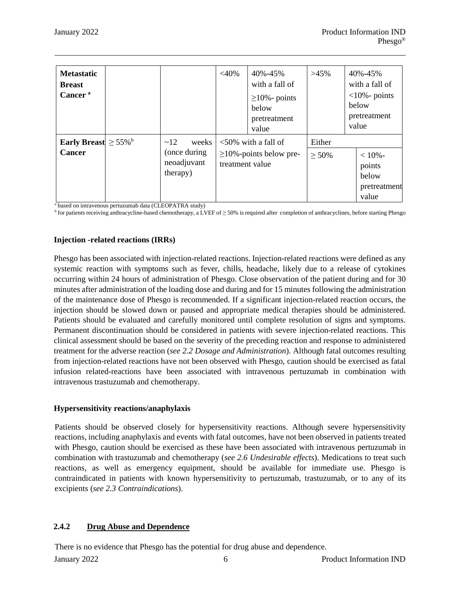| <b>Metastatic</b><br><b>Breast</b><br>Cancer <sup>a</sup> |                                                         | $<$ 40%         | 40%-45%<br>with a fall of<br>$\geq$ 10% - points<br>below<br>pretreatment<br>value | $>45\%$            | 40%-45%<br>with a fall of<br>$<10\%$ - points<br>below<br>pretreatment<br>value |
|-----------------------------------------------------------|---------------------------------------------------------|-----------------|------------------------------------------------------------------------------------|--------------------|---------------------------------------------------------------------------------|
| Early Breast $\geq 55\%$ <sup>b</sup><br><b>Cancer</b>    | ~12<br>weeks<br>(once during<br>neoadjuvant<br>therapy) | treatment value | $\langle 50\%$ with a fall of<br>$\geq$ 10%-points below pre-                      | Either<br>$> 50\%$ | $< 10% -$<br>points<br>below<br>pretreatment<br>value                           |

<sup>a</sup> based on intravenous pertuzumab data (CLEOPATRA study)

<sup>b</sup> for patients receiving anthracycline-based chemotherapy, a LVEF of ≥ 50% is required after completion of anthracyclines, before starting Phesgo

#### **Injection -related reactions (IRRs)**

Phesgo has been associated with injection-related reactions. Injection-related reactions were defined as any systemic reaction with symptoms such as fever, chills, headache, likely due to a release of cytokines occurring within 24 hours of administration of Phesgo. Close observation of the patient during and for 30 minutes after administration of the loading dose and during and for 15 minutes following the administration of the maintenance dose of Phesgo is recommended. If a significant injection-related reaction occurs, the injection should be slowed down or paused and appropriate medical therapies should be administered. Patients should be evaluated and carefully monitored until complete resolution of signs and symptoms. Permanent discontinuation should be considered in patients with severe injection-related reactions. This clinical assessment should be based on the severity of the preceding reaction and response to administered treatment for the adverse reaction (*see 2.2 Dosage and Administration*). Although fatal outcomes resulting from injection-related reactions have not been observed with Phesgo, caution should be exercised as fatal infusion related-reactions have been associated with intravenous pertuzumab in combination with intravenous trastuzumab and chemotherapy.

#### **Hypersensitivity reactions/anaphylaxis**

Patients should be observed closely for hypersensitivity reactions. Although severe hypersensitivity reactions, including anaphylaxis and events with fatal outcomes, have not been observed in patients treated with Phesgo, caution should be exercised as these have been associated with intravenous pertuzumab in combination with trastuzumab and chemotherapy (*see 2.6 Undesirable effects*). Medications to treat such reactions, as well as emergency equipment, should be available for immediate use. Phesgo is contraindicated in patients with known hypersensitivity to pertuzumab, trastuzumab, or to any of its excipients (*see 2.3 Contraindications*).

### **2.4.2 Drug Abuse and Dependence**

There is no evidence that Phesgo has the potential for drug abuse and dependence.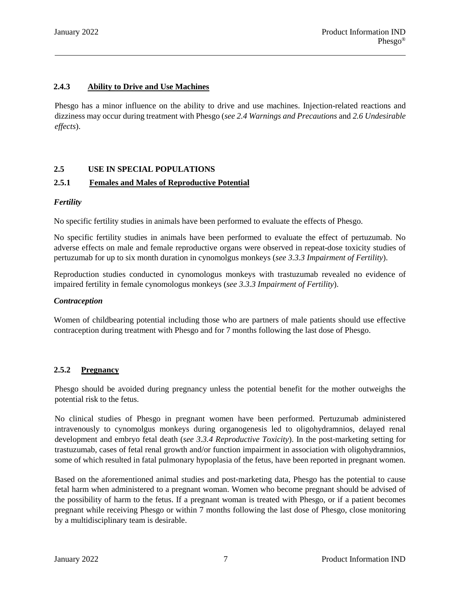### **2.4.3 Ability to Drive and Use Machines**

Phesgo has a minor influence on the ability to drive and use machines. Injection-related reactions and dizziness may occur during treatment with Phesgo (*see 2.4 Warnings and Precautions* and *2.6 Undesirable effects*).

### **2.5 USE IN SPECIAL POPULATIONS**

### **2.5.1 Females and Males of Reproductive Potential**

#### *Fertility*

No specific fertility studies in animals have been performed to evaluate the effects of Phesgo.

No specific fertility studies in animals have been performed to evaluate the effect of pertuzumab. No adverse effects on male and female reproductive organs were observed in repeat-dose toxicity studies of pertuzumab for up to six month duration in cynomolgus monkeys (*see 3.3.3 Impairment of Fertility*).

Reproduction studies conducted in cynomologus monkeys with trastuzumab revealed no evidence of impaired fertility in female cynomologus monkeys (*see 3.3.3 Impairment of Fertility*).

#### *Contraception*

Women of childbearing potential including those who are partners of male patients should use effective contraception during treatment with Phesgo and for 7 months following the last dose of Phesgo.

#### **2.5.2 Pregnancy**

Phesgo should be avoided during pregnancy unless the potential benefit for the mother outweighs the potential risk to the fetus.

No clinical studies of Phesgo in pregnant women have been performed. Pertuzumab administered intravenously to cynomolgus monkeys during organogenesis led to oligohydramnios, delayed renal development and embryo fetal death (*see 3.3.4 Reproductive Toxicity*). In the post-marketing setting for trastuzumab, cases of fetal renal growth and/or function impairment in association with oligohydramnios, some of which resulted in fatal pulmonary hypoplasia of the fetus, have been reported in pregnant women.

Based on the aforementioned animal studies and post-marketing data, Phesgo has the potential to cause fetal harm when administered to a pregnant woman. Women who become pregnant should be advised of the possibility of harm to the fetus. If a pregnant woman is treated with Phesgo, or if a patient becomes pregnant while receiving Phesgo or within 7 months following the last dose of Phesgo, close monitoring by a multidisciplinary team is desirable.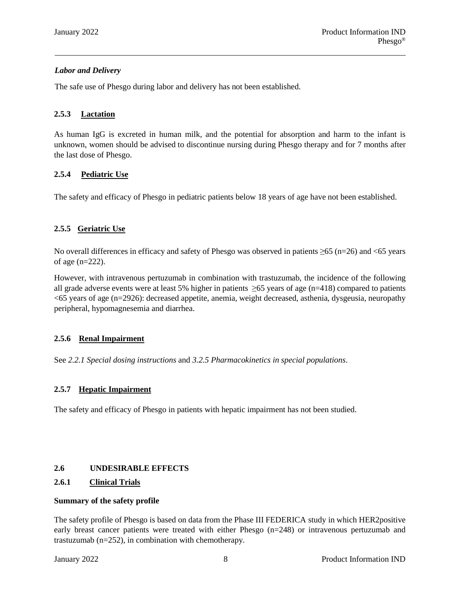### *Labor and Delivery*

The safe use of Phesgo during labor and delivery has not been established.

### **2.5.3 Lactation**

As human IgG is excreted in human milk, and the potential for absorption and harm to the infant is unknown, women should be advised to discontinue nursing during Phesgo therapy and for 7 months after the last dose of Phesgo.

### **2.5.4 Pediatric Use**

The safety and efficacy of Phesgo in pediatric patients below 18 years of age have not been established.

# **2.5.5 Geriatric Use**

No overall differences in efficacy and safety of Phesgo was observed in patients ≥65 (n=26) and <65 years of age (n=222).

However, with intravenous pertuzumab in combination with trastuzumab, the incidence of the following all grade adverse events were at least 5% higher in patients  $\geq$ 65 years of age (n=418) compared to patients <65 years of age (n=2926): decreased appetite, anemia, weight decreased, asthenia, dysgeusia, neuropathy peripheral, hypomagnesemia and diarrhea.

### **2.5.6 Renal Impairment**

See *2.2.1 Special dosing instructions* and *3.2.5 Pharmacokinetics in special populations*.

### **2.5.7 Hepatic Impairment**

The safety and efficacy of Phesgo in patients with hepatic impairment has not been studied.

### **2.6 UNDESIRABLE EFFECTS**

### **2.6.1 Clinical Trials**

#### **Summary of the safety profile**

The safety profile of Phesgo is based on data from the Phase III FEDERICA study in which HER2positive early breast cancer patients were treated with either Phesgo (n=248) or intravenous pertuzumab and trastuzumab (n=252), in combination with chemotherapy.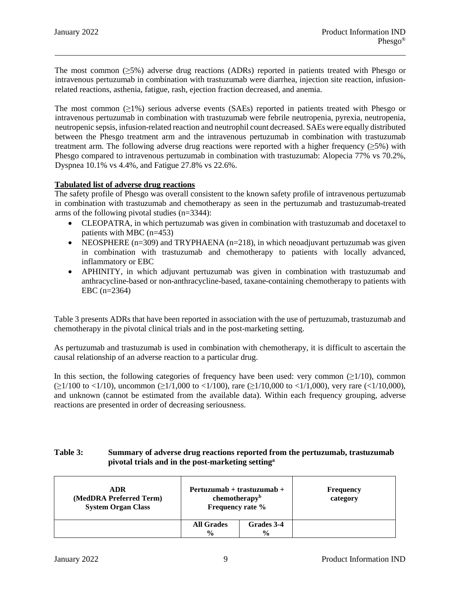The most common (≥5%) adverse drug reactions (ADRs) reported in patients treated with Phesgo or intravenous pertuzumab in combination with trastuzumab were diarrhea, injection site reaction, infusionrelated reactions, asthenia, fatigue, rash, ejection fraction decreased, and anemia.

The most common  $(\geq 1\%)$  serious adverse events (SAEs) reported in patients treated with Phesgo or intravenous pertuzumab in combination with trastuzumab were febrile neutropenia, pyrexia, neutropenia, neutropenic sepsis, infusion-related reaction and neutrophil count decreased. SAEs were equally distributed between the Phesgo treatment arm and the intravenous pertuzumab in combination with trastuzumab treatment arm. The following adverse drug reactions were reported with a higher frequency (≥5%) with Phesgo compared to intravenous pertuzumab in combination with trastuzumab: Alopecia 77% vs 70.2%, Dyspnea 10.1% vs 4.4%, and Fatigue 27.8% vs 22.6%.

### **Tabulated list of adverse drug reactions**

The safety profile of Phesgo was overall consistent to the known safety profile of intravenous pertuzumab in combination with trastuzumab and chemotherapy as seen in the pertuzumab and trastuzumab-treated arms of the following pivotal studies (n=3344):

- CLEOPATRA, in which pertuzumab was given in combination with trastuzumab and docetaxel to patients with MBC (n=453)
- NEOSPHERE ( $n=309$ ) and TRYPHAENA ( $n=218$ ), in which neoadjuvant pertuzumab was given in combination with trastuzumab and chemotherapy to patients with locally advanced, inflammatory or EBC
- APHINITY, in which adjuvant pertuzumab was given in combination with trastuzumab and anthracycline-based or non-anthracycline-based, taxane-containing chemotherapy to patients with EBC (n=2364)

Table 3 presents ADRs that have been reported in association with the use of pertuzumab, trastuzumab and chemotherapy in the pivotal clinical trials and in the post-marketing setting.

As pertuzumab and trastuzumab is used in combination with chemotherapy, it is difficult to ascertain the causal relationship of an adverse reaction to a particular drug.

In this section, the following categories of frequency have been used: very common  $(\geq 1/10)$ , common  $(\geq 1/100$  to <1/10), uncommon ( $\geq 1/1,000$  to <1/100), rare ( $\geq 1/10,000$  to <1/1,000), very rare (<1/10,000), and unknown (cannot be estimated from the available data). Within each frequency grouping, adverse reactions are presented in order of decreasing seriousness.

### **Table 3: Summary of adverse drug reactions reported from the pertuzumab, trastuzumab pivotal trials and in the post-marketing settinga**

| <b>ADR</b><br>(MedDRA Preferred Term)<br><b>System Organ Class</b> | $Pertuzumab + trastuzumab +$<br>chem other <sup>b</sup><br>Frequency rate % |                             | <b>Frequency</b><br>category |
|--------------------------------------------------------------------|-----------------------------------------------------------------------------|-----------------------------|------------------------------|
|                                                                    | <b>All Grades</b><br>$\frac{0}{0}$                                          | Grades 3-4<br>$\frac{6}{9}$ |                              |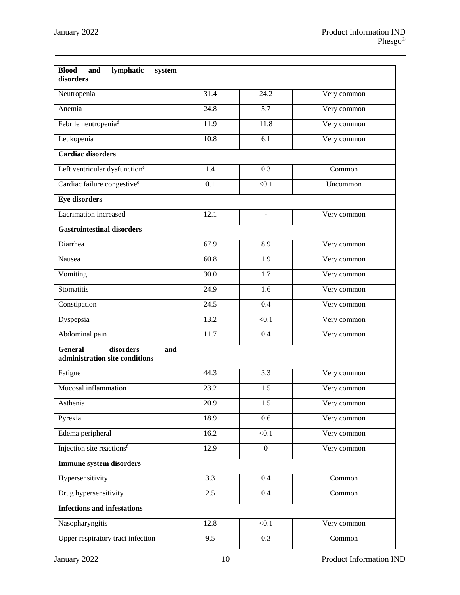| <b>Blood</b><br>lymphatic<br>and<br>system<br>disorders              |                   |                   |             |
|----------------------------------------------------------------------|-------------------|-------------------|-------------|
| Neutropenia                                                          | 31.4              | 24.2              | Very common |
| Anemia                                                               | 24.8              | $\overline{5.7}$  | Very common |
| Febrile neutropenia <sup>d</sup>                                     | 11.9              | 11.8              | Very common |
| Leukopenia                                                           | 10.8              | 6.1               | Very common |
| <b>Cardiac disorders</b>                                             |                   |                   |             |
| Left ventricular dysfunction <sup>e</sup>                            | 1.4               | 0.3               | Common      |
| Cardiac failure congestive <sup>e</sup>                              | 0.1               | < 0.1             | Uncommon    |
| <b>Eye disorders</b>                                                 |                   |                   |             |
| Lacrimation increased                                                | 12.1              | $\overline{a}$    | Very common |
| <b>Gastrointestinal disorders</b>                                    |                   |                   |             |
| Diarrhea                                                             | 67.9              | 8.9               | Very common |
| Nausea                                                               | 60.8              | 1.9               | Very common |
| Vomiting                                                             | 30.0              | $\overline{1.7}$  | Very common |
| Stomatitis                                                           | 24.9              | $\overline{1.6}$  | Very common |
| Constipation                                                         | 24.5              | 0.4               | Very common |
| Dyspepsia                                                            | 13.2              | < 0.1             | Very common |
| Abdominal pain                                                       | 11.7              | $\overline{0.4}$  | Very common |
| <b>General</b><br>disorders<br>and<br>administration site conditions |                   |                   |             |
| Fatigue                                                              | 44.3              | 3.3               | Very common |
| Mucosal inflammation                                                 | 23.2              | 1.5               | Very common |
| Asthenia                                                             | $\overline{20.9}$ | $\overline{1.5}$  | Very common |
| Pyrexia                                                              | 18.9              | 0.6               | Very common |
| Edema peripheral                                                     | 16.2              | < 0.1             | Very common |
| Injection site reactions <sup>f</sup>                                | 12.9              | $\mathbf{0}$      | Very common |
| <b>Immune system disorders</b>                                       |                   |                   |             |
| Hypersensitivity                                                     | $\overline{3.3}$  | 0.4               | Common      |
| Drug hypersensitivity                                                | 2.5               | 0.4               | Common      |
| <b>Infections and infestations</b>                                   |                   |                   |             |
| Nasopharyngitis                                                      | 12.8              | $\overline{<}0.1$ | Very common |
| Upper respiratory tract infection                                    | $\overline{9.5}$  | 0.3               | Common      |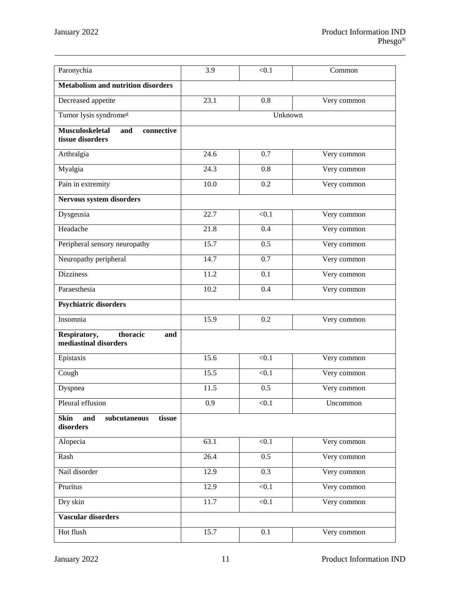| Paronychia                                                      | 3.9                        | < 0.1             | Common      |  |  |  |
|-----------------------------------------------------------------|----------------------------|-------------------|-------------|--|--|--|
| <b>Metabolism and nutrition disorders</b>                       |                            |                   |             |  |  |  |
| Decreased appetite                                              | 23.1                       | 0.8               | Very common |  |  |  |
| Tumor lysis syndrome <sup>g</sup>                               | Unknown                    |                   |             |  |  |  |
| <b>Musculoskeletal</b><br>and<br>connective<br>tissue disorders |                            |                   |             |  |  |  |
| Arthralgia                                                      | 24.6                       | 0.7               | Very common |  |  |  |
| Myalgia                                                         | 24.3<br>0.8<br>Very common |                   |             |  |  |  |
| Pain in extremity                                               | 10.0                       | 0.2               | Very common |  |  |  |
| Nervous system disorders                                        |                            |                   |             |  |  |  |
| Dysgeusia                                                       | 22.7                       | < 0.1             | Very common |  |  |  |
| Headache                                                        | 21.8                       | 0.4               | Very common |  |  |  |
| Peripheral sensory neuropathy                                   | 15.7                       | 0.5               | Very common |  |  |  |
| Neuropathy peripheral                                           | 14.7                       | 0.7               | Very common |  |  |  |
| <b>Dizziness</b>                                                | 11.2                       | 0.1               | Very common |  |  |  |
| Paraesthesia                                                    | 10.2                       | 0.4               | Very common |  |  |  |
| <b>Psychiatric disorders</b>                                    |                            |                   |             |  |  |  |
| Insomnia                                                        | 15.9                       | 0.2               | Very common |  |  |  |
| thoracic<br>Respiratory,<br>and<br>mediastinal disorders        |                            |                   |             |  |  |  |
| Epistaxis                                                       | 15.6                       | $\overline{<}0.1$ | Very common |  |  |  |
| Cough                                                           | 15.5                       | < 0.1             | Very common |  |  |  |
| Dyspnea                                                         | 11.5                       | 0.5               | Very common |  |  |  |
| Pleural effusion                                                | 0.9                        | < 0.1             | Uncommon    |  |  |  |
| <b>Skin</b><br>and<br>tissue<br>subcutaneous<br>disorders       |                            |                   |             |  |  |  |
| Alopecia                                                        | 63.1                       | < 0.1             | Very common |  |  |  |
| Rash                                                            | 26.4                       | 0.5               | Very common |  |  |  |
| Nail disorder                                                   | 12.9                       | 0.3               | Very common |  |  |  |
| Pruritus                                                        | 12.9                       | < 0.1             | Very common |  |  |  |
| Dry skin                                                        | 11.7                       | $\overline{<}0.1$ | Very common |  |  |  |
| Vascular disorders                                              |                            |                   |             |  |  |  |
| Hot flush                                                       | 15.7                       | 0.1               | Very common |  |  |  |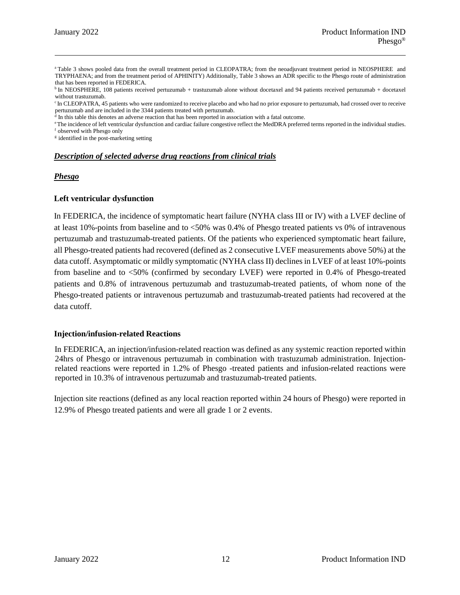<sup>a</sup> Table 3 shows pooled data from the overall treatment period in CLEOPATRA; from the neoadjuvant treatment period in NEOSPHERE and TRYPHAENA; and from the treatment period of APHINITY) Additionally, Table 3 shows an ADR specific to the Phesgo route of administration that has been reported in FEDERICA.

<sup>b</sup> In NEOSPHERE, 108 patients received pertuzumab + trastuzumab alone without docetaxel and 94 patients received pertuzumab + docetaxel without trastuzumab.

<sup>c</sup> In CLEOPATRA, 45 patients who were randomized to receive placebo and who had no prior exposure to pertuzumab, had crossed over to receive pertuzumab and are included in the 3344 patients treated with pertuzumab.

<sup>d</sup> In this table this denotes an adverse reaction that has been reported in association with a fatal outcome.

eThe incidence of left ventricular dysfunction and cardiac failure congestive reflect the MedDRA preferred terms reported in the individual studies. <sup>f</sup> observed with Phesgo only

<sup>g</sup> identified in the post-marketing setting

#### *Description of selected adverse drug reactions from clinical trials*

#### *Phesgo*

#### **Left ventricular dysfunction**

In FEDERICA, the incidence of symptomatic heart failure (NYHA class III or IV) with a LVEF decline of at least 10%-points from baseline and to <50% was 0.4% of Phesgo treated patients vs 0% of intravenous pertuzumab and trastuzumab-treated patients. Of the patients who experienced symptomatic heart failure, all Phesgo-treated patients had recovered (defined as 2 consecutive LVEF measurements above 50%) at the data cutoff. Asymptomatic or mildly symptomatic (NYHA class II) declines in LVEF of at least 10%-points from baseline and to <50% (confirmed by secondary LVEF) were reported in 0.4% of Phesgo-treated patients and 0.8% of intravenous pertuzumab and trastuzumab-treated patients, of whom none of the Phesgo-treated patients or intravenous pertuzumab and trastuzumab-treated patients had recovered at the data cutoff.

#### **Injection/infusion-related Reactions**

In FEDERICA, an injection/infusion-related reaction was defined as any systemic reaction reported within 24hrs of Phesgo or intravenous pertuzumab in combination with trastuzumab administration. Injectionrelated reactions were reported in 1.2% of Phesgo -treated patients and infusion-related reactions were reported in 10.3% of intravenous pertuzumab and trastuzumab-treated patients.

Injection site reactions (defined as any local reaction reported within 24 hours of Phesgo) were reported in 12.9% of Phesgo treated patients and were all grade 1 or 2 events.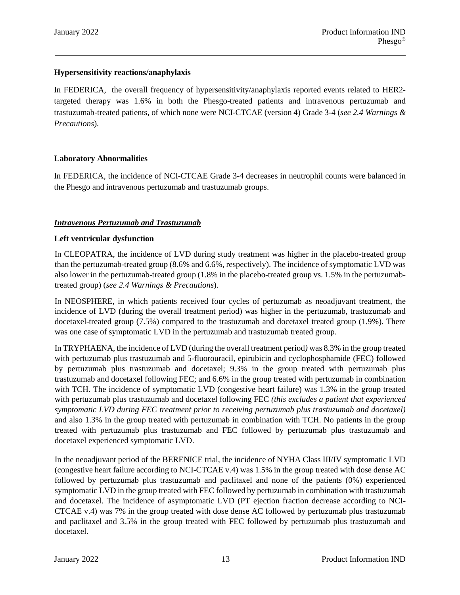### **Hypersensitivity reactions/anaphylaxis**

In FEDERICA, the overall frequency of hypersensitivity/anaphylaxis reported events related to HER2 targeted therapy was 1.6% in both the Phesgo-treated patients and intravenous pertuzumab and trastuzumab-treated patients, of which none were NCI-CTCAE (version 4) Grade 3-4 (*see 2.4 Warnings & Precautions*).

### **Laboratory Abnormalities**

In FEDERICA, the incidence of NCI-CTCAE Grade 3-4 decreases in neutrophil counts were balanced in the Phesgo and intravenous pertuzumab and trastuzumab groups.

### *Intravenous Pertuzumab and Trastuzumab*

### **Left ventricular dysfunction**

In CLEOPATRA, the incidence of LVD during study treatment was higher in the placebo-treated group than the pertuzumab-treated group (8.6% and 6.6%, respectively). The incidence of symptomatic LVD was also lower in the pertuzumab-treated group (1.8% in the placebo-treated group vs. 1.5% in the pertuzumabtreated group) (*see 2.4 Warnings & Precautions*).

In NEOSPHERE, in which patients received four cycles of pertuzumab as neoadjuvant treatment, the incidence of LVD (during the overall treatment period) was higher in the pertuzumab, trastuzumab and docetaxel-treated group (7.5%) compared to the trastuzumab and docetaxel treated group (1.9%). There was one case of symptomatic LVD in the pertuzumab and trastuzumab treated group.

In TRYPHAENA, the incidence of LVD (during the overall treatment period*)* was 8.3% in the group treated with pertuzumab plus trastuzumab and 5-fluorouracil, epirubicin and cyclophosphamide (FEC) followed by pertuzumab plus trastuzumab and docetaxel; 9.3% in the group treated with pertuzumab plus trastuzumab and docetaxel following FEC; and 6.6% in the group treated with pertuzumab in combination with TCH. The incidence of symptomatic LVD (congestive heart failure) was 1.3% in the group treated with pertuzumab plus trastuzumab and docetaxel following FEC *(this excludes a patient that experienced symptomatic LVD during FEC treatment prior to receiving pertuzumab plus trastuzumab and docetaxel)* and also 1.3% in the group treated with pertuzumab in combination with TCH. No patients in the group treated with pertuzumab plus trastuzumab and FEC followed by pertuzumab plus trastuzumab and docetaxel experienced symptomatic LVD.

In the neoadjuvant period of the BERENICE trial, the incidence of NYHA Class III/IV symptomatic LVD (congestive heart failure according to NCI-CTCAE v.4) was 1.5% in the group treated with dose dense AC followed by pertuzumab plus trastuzumab and paclitaxel and none of the patients (0%) experienced symptomatic LVD in the group treated with FEC followed by pertuzumab in combination with trastuzumab and docetaxel. The incidence of asymptomatic LVD (PT ejection fraction decrease according to NCI-CTCAE v.4) was 7% in the group treated with dose dense AC followed by pertuzumab plus trastuzumab and paclitaxel and 3.5% in the group treated with FEC followed by pertuzumab plus trastuzumab and docetaxel.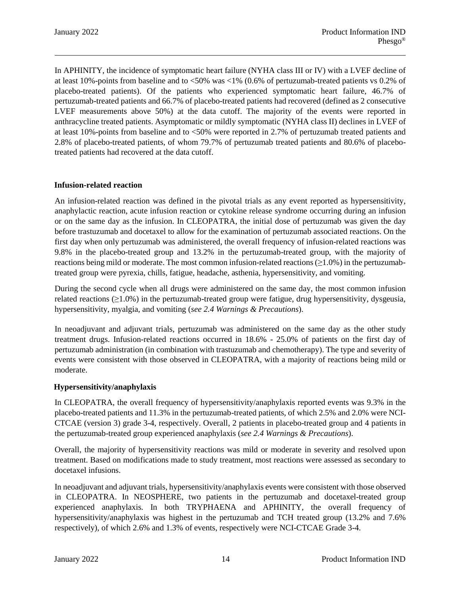In APHINITY, the incidence of symptomatic heart failure (NYHA class III or IV) with a LVEF decline of at least 10%-points from baseline and to <50% was <1% (0.6% of pertuzumab-treated patients vs 0.2% of placebo-treated patients). Of the patients who experienced symptomatic heart failure, 46.7% of pertuzumab-treated patients and 66.7% of placebo-treated patients had recovered (defined as 2 consecutive LVEF measurements above 50%) at the data cutoff. The majority of the events were reported in anthracycline treated patients. Asymptomatic or mildly symptomatic (NYHA class II) declines in LVEF of at least 10%-points from baseline and to <50% were reported in 2.7% of pertuzumab treated patients and 2.8% of placebo-treated patients, of whom 79.7% of pertuzumab treated patients and 80.6% of placebotreated patients had recovered at the data cutoff.

### **Infusion-related reaction**

An infusion-related reaction was defined in the pivotal trials as any event reported as hypersensitivity, anaphylactic reaction, acute infusion reaction or cytokine release syndrome occurring during an infusion or on the same day as the infusion. In CLEOPATRA, the initial dose of pertuzumab was given the day before trastuzumab and docetaxel to allow for the examination of pertuzumab associated reactions. On the first day when only pertuzumab was administered, the overall frequency of infusion-related reactions was 9.8% in the placebo-treated group and 13.2% in the pertuzumab-treated group, with the majority of reactions being mild or moderate. The most common infusion-related reactions  $(≥1.0%)$  in the pertuzumabtreated group were pyrexia, chills, fatigue, headache, asthenia, hypersensitivity, and vomiting.

During the second cycle when all drugs were administered on the same day, the most common infusion related reactions  $(\geq 1.0\%)$  in the pertuzumab-treated group were fatigue, drug hypersensitivity, dysgeusia, hypersensitivity, myalgia, and vomiting (*see 2.4 Warnings & Precautions*).

In neoadjuvant and adjuvant trials, pertuzumab was administered on the same day as the other study treatment drugs. Infusion-related reactions occurred in 18.6% - 25.0% of patients on the first day of pertuzumab administration (in combination with trastuzumab and chemotherapy). The type and severity of events were consistent with those observed in CLEOPATRA, with a majority of reactions being mild or moderate.

#### **Hypersensitivity/anaphylaxis**

In CLEOPATRA, the overall frequency of hypersensitivity/anaphylaxis reported events was 9.3% in the placebo-treated patients and 11.3% in the pertuzumab-treated patients, of which 2.5% and 2.0% were NCI-CTCAE (version 3) grade 3-4, respectively. Overall, 2 patients in placebo-treated group and 4 patients in the pertuzumab-treated group experienced anaphylaxis (*see 2.4 Warnings & Precautions*).

Overall, the majority of hypersensitivity reactions was mild or moderate in severity and resolved upon treatment. Based on modifications made to study treatment, most reactions were assessed as secondary to docetaxel infusions.

In neoadjuvant and adjuvant trials, hypersensitivity/anaphylaxis events were consistent with those observed in CLEOPATRA. In NEOSPHERE, two patients in the pertuzumab and docetaxel-treated group experienced anaphylaxis. In both TRYPHAENA and APHINITY, the overall frequency of hypersensitivity/anaphylaxis was highest in the pertuzumab and TCH treated group (13.2% and 7.6% respectively), of which 2.6% and 1.3% of events, respectively were NCI-CTCAE Grade 3-4.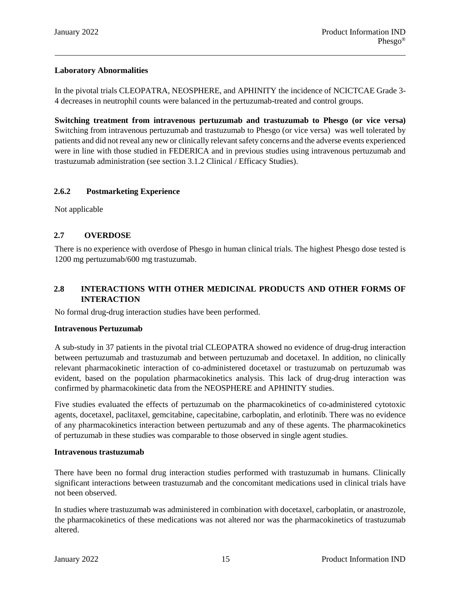# **Laboratory Abnormalities**

In the pivotal trials CLEOPATRA, NEOSPHERE, and APHINITY the incidence of NCICTCAE Grade 3- 4 decreases in neutrophil counts were balanced in the pertuzumab-treated and control groups.

**Switching treatment from intravenous pertuzumab and trastuzumab to Phesgo (or vice versa)** Switching from intravenous pertuzumab and trastuzumab to Phesgo (or vice versa) was well tolerated by patients and did not reveal any new or clinically relevant safety concerns and the adverse events experienced were in line with those studied in FEDERICA and in previous studies using intravenous pertuzumab and trastuzumab administration (see section 3.1.2 Clinical / Efficacy Studies).

### **2.6.2 Postmarketing Experience**

Not applicable

### **2.7 OVERDOSE**

There is no experience with overdose of Phesgo in human clinical trials. The highest Phesgo dose tested is 1200 mg pertuzumab/600 mg trastuzumab.

# **2.8 INTERACTIONS WITH OTHER MEDICINAL PRODUCTS AND OTHER FORMS OF INTERACTION**

No formal drug-drug interaction studies have been performed.

#### **Intravenous Pertuzumab**

A sub-study in 37 patients in the pivotal trial CLEOPATRA showed no evidence of drug-drug interaction between pertuzumab and trastuzumab and between pertuzumab and docetaxel. In addition, no clinically relevant pharmacokinetic interaction of co-administered docetaxel or trastuzumab on pertuzumab was evident, based on the population pharmacokinetics analysis. This lack of drug-drug interaction was confirmed by pharmacokinetic data from the NEOSPHERE and APHINITY studies.

Five studies evaluated the effects of pertuzumab on the pharmacokinetics of co-administered cytotoxic agents, docetaxel, paclitaxel, gemcitabine, capecitabine, carboplatin, and erlotinib. There was no evidence of any pharmacokinetics interaction between pertuzumab and any of these agents. The pharmacokinetics of pertuzumab in these studies was comparable to those observed in single agent studies.

#### **Intravenous trastuzumab**

There have been no formal drug interaction studies performed with trastuzumab in humans. Clinically significant interactions between trastuzumab and the concomitant medications used in clinical trials have not been observed.

In studies where trastuzumab was administered in combination with docetaxel, carboplatin, or anastrozole, the pharmacokinetics of these medications was not altered nor was the pharmacokinetics of trastuzumab altered.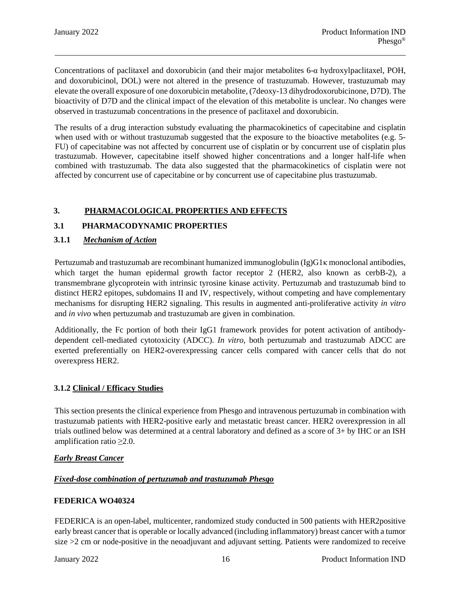Concentrations of paclitaxel and doxorubicin (and their major metabolites 6-α hydroxylpaclitaxel, POH, and doxorubicinol, DOL) were not altered in the presence of trastuzumab. However, trastuzumab may elevate the overall exposure of one doxorubicin metabolite, (7deoxy-13 dihydrodoxorubicinone, D7D). The bioactivity of D7D and the clinical impact of the elevation of this metabolite is unclear. No changes were observed in trastuzumab concentrations in the presence of paclitaxel and doxorubicin.

The results of a drug interaction substudy evaluating the pharmacokinetics of capecitabine and cisplatin when used with or without trastuzumab suggested that the exposure to the bioactive metabolites (e.g. 5- FU) of capecitabine was not affected by concurrent use of cisplatin or by concurrent use of cisplatin plus trastuzumab. However, capecitabine itself showed higher concentrations and a longer half-life when combined with trastuzumab. The data also suggested that the pharmacokinetics of cisplatin were not affected by concurrent use of capecitabine or by concurrent use of capecitabine plus trastuzumab.

# **3. PHARMACOLOGICAL PROPERTIES AND EFFECTS**

### **3.1 PHARMACODYNAMIC PROPERTIES**

### **3.1.1** *Mechanism of Action*

Pertuzumab and trastuzumab are recombinant humanized immunoglobulin  $(Ig)G1\kappa$  monoclonal antibodies, which target the human epidermal growth factor receptor 2 (HER2, also known as cerbB-2), a transmembrane glycoprotein with intrinsic tyrosine kinase activity. Pertuzumab and trastuzumab bind to distinct HER2 epitopes, subdomains II and IV, respectively, without competing and have complementary mechanisms for disrupting HER2 signaling. This results in augmented anti-proliferative activity *in vitro* and *in vivo* when pertuzumab and trastuzumab are given in combination.

Additionally, the Fc portion of both their IgG1 framework provides for potent activation of antibodydependent cell-mediated cytotoxicity (ADCC). *In vitro*, both pertuzumab and trastuzumab ADCC are exerted preferentially on HER2-overexpressing cancer cells compared with cancer cells that do not overexpress HER2.

### **3.1.2 Clinical / Efficacy Studies**

This section presents the clinical experience from Phesgo and intravenous pertuzumab in combination with trastuzumab patients with HER2-positive early and metastatic breast cancer. HER2 overexpression in all trials outlined below was determined at a central laboratory and defined as a score of 3+ by IHC or an ISH amplification ratio  $\geq 2.0$ .

#### *Early Breast Cancer*

### *Fixed-dose combination of pertuzumab and trastuzumab Phesgo*

#### **FEDERICA WO40324**

FEDERICA is an open-label, multicenter, randomized study conducted in 500 patients with HER2positive early breast cancer that is operable or locally advanced (including inflammatory) breast cancer with a tumor size >2 cm or node-positive in the neoadjuvant and adjuvant setting. Patients were randomized to receive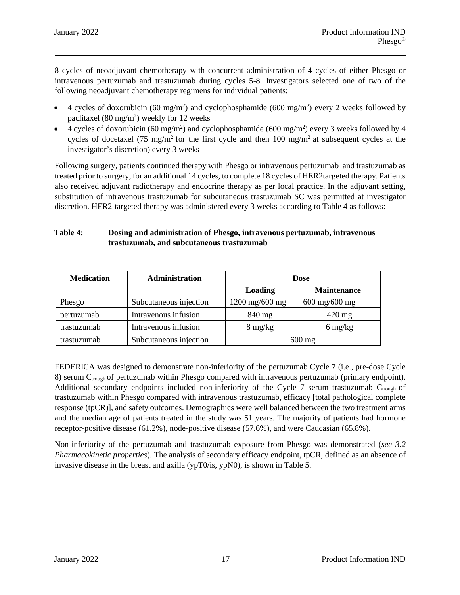8 cycles of neoadjuvant chemotherapy with concurrent administration of 4 cycles of either Phesgo or intravenous pertuzumab and trastuzumab during cycles 5-8. Investigators selected one of two of the following neoadjuvant chemotherapy regimens for individual patients:

- 4 cycles of doxorubicin (60 mg/m<sup>2</sup>) and cyclophosphamide (600 mg/m<sup>2</sup>) every 2 weeks followed by paclitaxel  $(80 \text{ mg/m}^2)$  weekly for 12 weeks
- 4 cycles of doxorubicin (60 mg/m<sup>2</sup>) and cyclophosphamide (600 mg/m<sup>2</sup>) every 3 weeks followed by 4 cycles of docetaxel (75 mg/m<sup>2</sup> for the first cycle and then 100 mg/m<sup>2</sup> at subsequent cycles at the investigator's discretion) every 3 weeks

Following surgery, patients continued therapy with Phesgo or intravenous pertuzumab and trastuzumab as treated prior to surgery, for an additional 14 cycles, to complete 18 cycles of HER2targeted therapy. Patients also received adjuvant radiotherapy and endocrine therapy as per local practice. In the adjuvant setting, substitution of intravenous trastuzumab for subcutaneous trastuzumab SC was permitted at investigator discretion. HER2-targeted therapy was administered every 3 weeks according to Table 4 as follows:

### **Table 4: Dosing and administration of Phesgo, intravenous pertuzumab, intravenous trastuzumab, and subcutaneous trastuzumab**

| <b>Medication</b> | Administration         | <b>Dose</b>                                          |                                       |  |
|-------------------|------------------------|------------------------------------------------------|---------------------------------------|--|
|                   |                        | Loading                                              | <b>Maintenance</b>                    |  |
| Phesgo            | Subcutaneous injection | $1200 \text{ mg}/600 \text{ mg}$                     | $600 \,\mathrm{mg}/600 \,\mathrm{mg}$ |  |
| pertuzumab        | Intravenous infusion   | 840 mg<br>$420$ mg                                   |                                       |  |
| trastuzumab       | Intravenous infusion   | $6 \frac{\text{mg}}{\text{kg}}$<br>$8 \text{ mg/kg}$ |                                       |  |
| trastuzumab       | Subcutaneous injection | $600 \text{ mg}$                                     |                                       |  |

FEDERICA was designed to demonstrate non-inferiority of the pertuzumab Cycle 7 (i.e., pre-dose Cycle 8) serum C<sub>trough</sub> of pertuzumab within Phesgo compared with intravenous pertuzumab (primary endpoint). Additional secondary endpoints included non-inferiority of the Cycle 7 serum trastuzumab  $C_{\text{trough}}$  of trastuzumab within Phesgo compared with intravenous trastuzumab, efficacy [total pathological complete response (tpCR)], and safety outcomes. Demographics were well balanced between the two treatment arms and the median age of patients treated in the study was 51 years. The majority of patients had hormone receptor-positive disease (61.2%), node-positive disease (57.6%), and were Caucasian (65.8%).

Non-inferiority of the pertuzumab and trastuzumab exposure from Phesgo was demonstrated (*see 3.2 Pharmacokinetic properties*). The analysis of secondary efficacy endpoint, tpCR, defined as an absence of invasive disease in the breast and axilla (ypT0/is, ypN0), is shown in Table 5.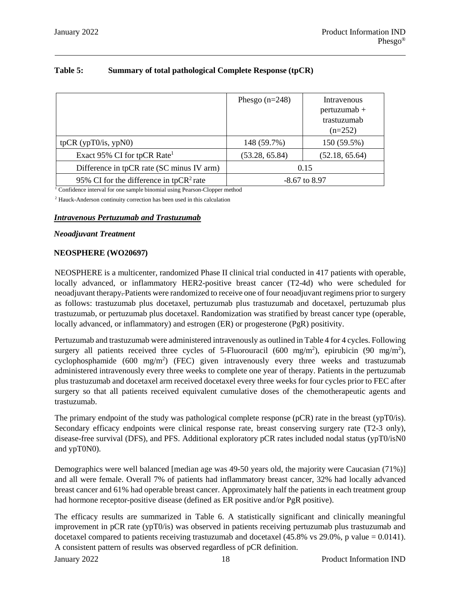|                                                                                                                                                    | Phesgo $(n=248)$ | Intravenous<br>$pertuzumab +$<br>trastuzumab<br>$(n=252)$ |
|----------------------------------------------------------------------------------------------------------------------------------------------------|------------------|-----------------------------------------------------------|
| tpCR $(ypT0/is, ypN0)$                                                                                                                             | 148 (59.7%)      | 150 (59.5%)                                               |
| Exact 95% CI for tpCR Rate <sup>1</sup>                                                                                                            | (53.28, 65.84)   | (52.18, 65.64)                                            |
| Difference in tpCR rate (SC minus IV arm)                                                                                                          |                  | 0.15                                                      |
| 95% CI for the difference in tpCR <sup>2</sup> rate<br>$-8.67$ to 8.97<br>Confidence integral for ano comple hipemial using Decrees Clanner mathed |                  |                                                           |

### **Table 5: Summary of total pathological Complete Response (tpCR)**

<sup>1</sup> Confidence interval for one sample binomial using Pearson-Clopper method

<sup>2</sup> Hauck-Anderson continuity correction has been used in this calculation

#### *Intravenous Pertuzumab and Trastuzumab*

#### *Neoadjuvant Treatment*

#### **NEOSPHERE (WO20697)**

NEOSPHERE is a multicenter, randomized Phase II clinical trial conducted in 417 patients with operable, locally advanced, or inflammatory HER2-positive breast cancer (T2-4d) who were scheduled for neoadjuvant therapy. Patients were randomized to receive one of four neoadjuvant regimens prior to surgery as follows: trastuzumab plus docetaxel, pertuzumab plus trastuzumab and docetaxel, pertuzumab plus trastuzumab, or pertuzumab plus docetaxel. Randomization was stratified by breast cancer type (operable, locally advanced, or inflammatory) and estrogen (ER) or progesterone (PgR) positivity.

Pertuzumab and trastuzumab were administered intravenously as outlined in Table 4 for 4 cycles. Following surgery all patients received three cycles of 5-Fluorouracil (600 mg/m<sup>2</sup>), epirubicin (90 mg/m<sup>2</sup>), cyclophosphamide (600 mg/m<sup>2</sup>) (FEC) given intravenously every three weeks and trastuzumab administered intravenously every three weeks to complete one year of therapy. Patients in the pertuzumab plus trastuzumab and docetaxel arm received docetaxel every three weeks for four cycles prior to FEC after surgery so that all patients received equivalent cumulative doses of the chemotherapeutic agents and trastuzumab.

The primary endpoint of the study was pathological complete response (pCR) rate in the breast (ypT0/is). Secondary efficacy endpoints were clinical response rate, breast conserving surgery rate (T2-3 only), disease-free survival (DFS), and PFS. Additional exploratory pCR rates included nodal status (ypT0/isN0 and ypT0N0).

Demographics were well balanced [median age was 49-50 years old, the majority were Caucasian (71%)] and all were female. Overall 7% of patients had inflammatory breast cancer, 32% had locally advanced breast cancer and 61% had operable breast cancer. Approximately half the patients in each treatment group had hormone receptor-positive disease (defined as ER positive and/or PgR positive).

The efficacy results are summarized in Table 6. A statistically significant and clinically meaningful improvement in pCR rate (ypT0/is) was observed in patients receiving pertuzumab plus trastuzumab and docetaxel compared to patients receiving trastuzumab and docetaxel (45.8% vs 29.0%, p value = 0.0141). A consistent pattern of results was observed regardless of pCR definition.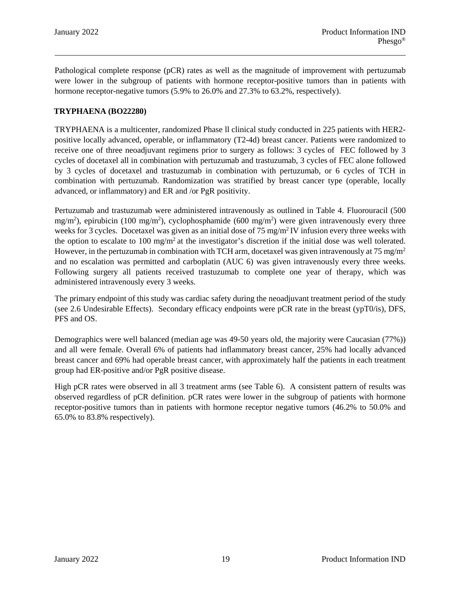Pathological complete response (pCR) rates as well as the magnitude of improvement with pertuzumab were lower in the subgroup of patients with hormone receptor-positive tumors than in patients with hormone receptor-negative tumors (5.9% to 26.0% and 27.3% to 63.2%, respectively).

### **TRYPHAENA (BO22280)**

TRYPHAENA is a multicenter, randomized Phase ll clinical study conducted in 225 patients with HER2 positive locally advanced, operable, or inflammatory (T2-4d) breast cancer. Patients were randomized to receive one of three neoadjuvant regimens prior to surgery as follows: 3 cycles of FEC followed by 3 cycles of docetaxel all in combination with pertuzumab and trastuzumab, 3 cycles of FEC alone followed by 3 cycles of docetaxel and trastuzumab in combination with pertuzumab, or 6 cycles of TCH in combination with pertuzumab. Randomization was stratified by breast cancer type (operable, locally advanced, or inflammatory) and ER and /or PgR positivity.

Pertuzumab and trastuzumab were administered intravenously as outlined in Table 4. Fluorouracil (500 mg/m<sup>2</sup>), epirubicin (100 mg/m<sup>2</sup>), cyclophosphamide (600 mg/m<sup>2</sup>) were given intravenously every three weeks for 3 cycles. Docetaxel was given as an initial dose of 75 mg/m<sup>2</sup> IV infusion every three weeks with the option to escalate to 100 mg/m<sup>2</sup> at the investigator's discretion if the initial dose was well tolerated. However, in the pertuzumab in combination with TCH arm, docetaxel was given intravenously at  $75 \text{ mg/m}^2$ and no escalation was permitted and carboplatin (AUC 6) was given intravenously every three weeks. Following surgery all patients received trastuzumab to complete one year of therapy, which was administered intravenously every 3 weeks.

The primary endpoint of this study was cardiac safety during the neoadjuvant treatment period of the study (see 2.6 Undesirable Effects). Secondary efficacy endpoints were pCR rate in the breast (ypT0/is), DFS, PFS and OS.

Demographics were well balanced (median age was 49-50 years old, the majority were Caucasian (77%)) and all were female. Overall 6% of patients had inflammatory breast cancer, 25% had locally advanced breast cancer and 69% had operable breast cancer, with approximately half the patients in each treatment group had ER-positive and/or PgR positive disease.

High pCR rates were observed in all 3 treatment arms (see Table 6). A consistent pattern of results was observed regardless of pCR definition. pCR rates were lower in the subgroup of patients with hormone receptor-positive tumors than in patients with hormone receptor negative tumors (46.2% to 50.0% and 65.0% to 83.8% respectively).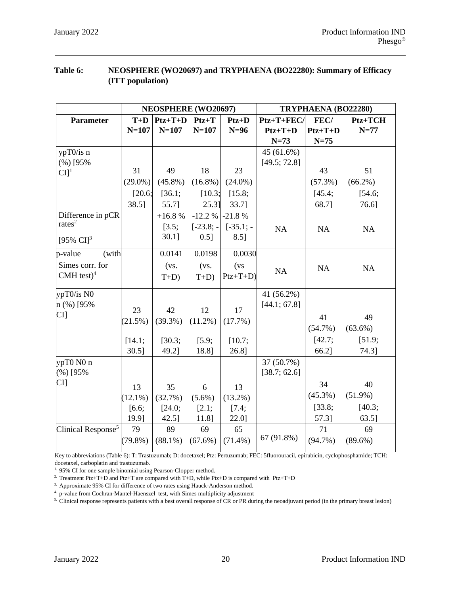# **Table 6: NEOSPHERE (WO20697) and TRYPHAENA (BO22280): Summary of Efficacy (ITT population)**

|                                |            | NEOSPHERE (WO20697) |              |              | TRYPHAENA (BO22280) |            |            |  |
|--------------------------------|------------|---------------------|--------------|--------------|---------------------|------------|------------|--|
| <b>Parameter</b>               | $T+D$      | $Ptz+T+D$           | $Ptz+T$      | $Ptz+D$      | $Ptz+T+FEC/$        | FEC/       | Ptz+TCH    |  |
|                                | $N = 107$  | $N = 107$           | $N = 107$    | $N=96$       | $Ptz+T+D$           | $Ptz+T+D$  | $N=77$     |  |
|                                |            |                     |              |              | $N=73$              | $N=75$     |            |  |
| ypT0/is n                      |            |                     |              |              | 45(61.6%)           |            |            |  |
| (%) [95%                       |            |                     |              |              | [49.5; 72.8]        |            |            |  |
| CI <sup>1</sup>                | 31         | 49                  | 18           | 23           |                     | 43         | 51         |  |
|                                | $(29.0\%)$ | $(45.8\%)$          | $(16.8\%)$   | $(24.0\%)$   |                     | $(57.3\%)$ | $(66.2\%)$ |  |
|                                | [20.6;     | [36.1;              | [10.3;       | [15.8;       |                     | [45.4;     | [54.6;     |  |
|                                | 38.5]      | 55.7]               | $25.3$ ]     | 33.7]        |                     | 68.7]      | 76.6]      |  |
| Difference in pCR              |            | $+16.8%$            | $-12.2%$     | $-21.8%$     |                     |            |            |  |
| rates <sup>2</sup>             |            | [3.5;               | $[-23.8; -]$ | $[-35.1; -]$ | NA                  | NA         | NA         |  |
| [95% $CI$ ] <sup>3</sup>       |            | $30.1$ ]            | 0.51         | 8.5]         |                     |            |            |  |
| p-value<br>(with               |            | 0.0141              | 0.0198       | 0.0030       |                     |            |            |  |
| Simes corr. for                |            | (vs.                | (vs.         | (vs)         | NA                  | NA         | NA         |  |
| $CMH$ test) <sup>4</sup>       |            | $T+D$               | $T+D$        | $Ptz+T+D)$   |                     |            |            |  |
| ypT0/is N0                     |            |                     |              |              | 41 (56.2%)          |            |            |  |
| n (%) [95%                     | 23         | 42                  | 12           | 17           | [44.1; 67.8]        |            |            |  |
| CI                             | (21.5%)    | $(39.3\%)$          | $(11.2\%)$   | (17.7%)      |                     | 41         | 49         |  |
|                                |            |                     |              |              |                     | $(54.7\%)$ | $(63.6\%)$ |  |
|                                | [14.1;     | [30.3;              | [5.9;        | [10.7;       |                     | [42.7;     | [51.9;     |  |
|                                | $30.5$ ]   | 49.2]               | 18.8]        | 26.8]        |                     | 66.2]      | 74.31      |  |
| ypT0 N0 n                      |            |                     |              |              | 37 (50.7%)          |            |            |  |
| $(\%)[95\%]$                   |            |                     |              |              | [38.7; 62.6]        |            |            |  |
| CI                             | 13         | 35                  | 6            | 13           |                     | 34         | 40         |  |
|                                | $(12.1\%)$ | (32.7%)             | $(5.6\%)$    | $(13.2\%)$   |                     | $(45.3\%)$ | $(51.9\%)$ |  |
|                                | [6.6;      | [24.0;              | [2.1;        | [7.4;        |                     | [33.8;     | [40.3;     |  |
|                                | 19.9]      | $42.5$ ]            | 11.8]        | 22.0]        |                     | 57.3]      | 63.5]      |  |
| Clinical Response <sup>5</sup> | 79         | 89                  | 69           | 65           |                     | 71         | 69         |  |
|                                | $(79.8\%)$ | $(88.1\%)$          | $(67.6\%)$   | $(71.4\%)$   | 67 (91.8%)          | $(94.7\%)$ | $(89.6\%)$ |  |
|                                |            |                     |              |              |                     |            |            |  |

Key to abbreviations (Table 6): T: Trastuzumab; D: docetaxel; Ptz: Pertuzumab; FEC: 5fluorouracil, epirubicin, cyclophosphamide; TCH: docetaxel, carboplatin and trastuzumab.

<sup>1.</sup> 95% CI for one sample binomial using Pearson-Clopper method.

<sup>2.</sup> Treatment Ptz+T+D and Ptz+T are compared with T+D, while Ptz+D is compared with Ptz+T+D

<sup>3.</sup> Approximate 95% CI for difference of two rates using Hauck-Anderson method.

4. p-value from Cochran-Mantel-Haenszel test, with Simes multiplicity adjustment

5. Clinical response represents patients with a best overall response of CR or PR during the neoadjuvant period (in the primary breast lesion)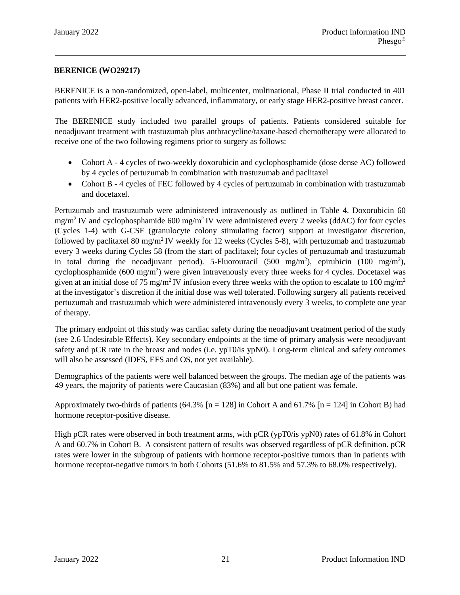### **BERENICE (WO29217)**

BERENICE is a non-randomized, open-label, multicenter, multinational, Phase II trial conducted in 401 patients with HER2-positive locally advanced, inflammatory, or early stage HER2-positive breast cancer.

The BERENICE study included two parallel groups of patients. Patients considered suitable for neoadjuvant treatment with trastuzumab plus anthracycline/taxane-based chemotherapy were allocated to receive one of the two following regimens prior to surgery as follows:

- Cohort A 4 cycles of two-weekly doxorubicin and cyclophosphamide (dose dense AC) followed by 4 cycles of pertuzumab in combination with trastuzumab and paclitaxel
- Cohort B 4 cycles of FEC followed by 4 cycles of pertuzumab in combination with trastuzumab and docetaxel.

Pertuzumab and trastuzumab were administered intravenously as outlined in Table 4. Doxorubicin 60  $mg/m<sup>2</sup> IV$  and cyclophosphamide 600 mg/m<sup>2</sup> IV were administered every 2 weeks (ddAC) for four cycles (Cycles 1-4) with G-CSF (granulocyte colony stimulating factor) support at investigator discretion, followed by paclitaxel 80 mg/m2 IV weekly for 12 weeks (Cycles 5-8), with pertuzumab and trastuzumab every 3 weeks during Cycles 58 (from the start of paclitaxel; four cycles of pertuzumab and trastuzumab in total during the neoadjuvant period). 5-Fluorouracil (500 mg/m<sup>2</sup>), epirubicin (100 mg/m<sup>2</sup>), cyclophosphamide  $(600 \text{ mg/m}^2)$  were given intravenously every three weeks for 4 cycles. Docetaxel was given at an initial dose of 75 mg/m<sup>2</sup> IV infusion every three weeks with the option to escalate to 100 mg/m<sup>2</sup> at the investigator's discretion if the initial dose was well tolerated. Following surgery all patients received pertuzumab and trastuzumab which were administered intravenously every 3 weeks, to complete one year of therapy.

The primary endpoint of this study was cardiac safety during the neoadjuvant treatment period of the study (see 2.6 Undesirable Effects). Key secondary endpoints at the time of primary analysis were neoadjuvant safety and pCR rate in the breast and nodes (i.e. ypT0/is ypN0). Long-term clinical and safety outcomes will also be assessed (IDFS, EFS and OS, not yet available).

Demographics of the patients were well balanced between the groups. The median age of the patients was 49 years, the majority of patients were Caucasian (83%) and all but one patient was female.

Approximately two-thirds of patients (64.3%  $[n = 128]$  in Cohort A and 61.7%  $[n = 124]$  in Cohort B) had hormone receptor-positive disease.

High pCR rates were observed in both treatment arms, with pCR (ypT0/is ypN0) rates of 61.8% in Cohort A and 60.7% in Cohort B. A consistent pattern of results was observed regardless of pCR definition. pCR rates were lower in the subgroup of patients with hormone receptor-positive tumors than in patients with hormone receptor-negative tumors in both Cohorts (51.6% to 81.5% and 57.3% to 68.0% respectively).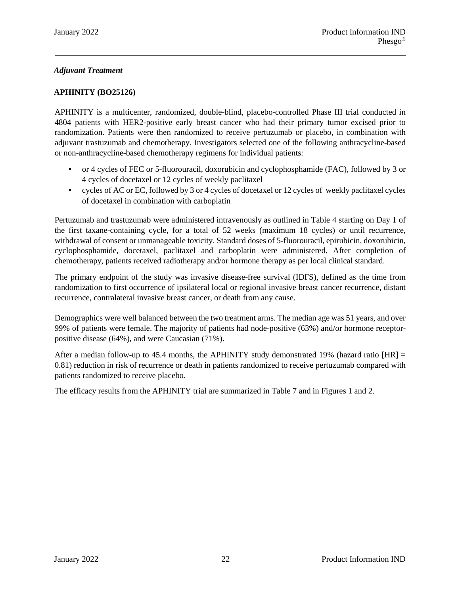# *Adjuvant Treatment*

### **APHINITY (BO25126)**

APHINITY is a multicenter, randomized, double-blind, placebo-controlled Phase III trial conducted in 4804 patients with HER2-positive early breast cancer who had their primary tumor excised prior to randomization. Patients were then randomized to receive pertuzumab or placebo, in combination with adjuvant trastuzumab and chemotherapy. Investigators selected one of the following anthracycline-based or non-anthracycline-based chemotherapy regimens for individual patients:

- or 4 cycles of FEC or 5-fluorouracil, doxorubicin and cyclophosphamide (FAC), followed by 3 or 4 cycles of docetaxel or 12 cycles of weekly paclitaxel
- cycles of AC or EC, followed by 3 or 4 cycles of docetaxel or 12 cycles of weekly paclitaxel cycles of docetaxel in combination with carboplatin

Pertuzumab and trastuzumab were administered intravenously as outlined in Table 4 starting on Day 1 of the first taxane-containing cycle, for a total of 52 weeks (maximum 18 cycles) or until recurrence, withdrawal of consent or unmanageable toxicity. Standard doses of 5-fluorouracil, epirubicin, doxorubicin, cyclophosphamide, docetaxel, paclitaxel and carboplatin were administered. After completion of chemotherapy, patients received radiotherapy and/or hormone therapy as per local clinical standard.

The primary endpoint of the study was invasive disease-free survival (IDFS), defined as the time from randomization to first occurrence of ipsilateral local or regional invasive breast cancer recurrence, distant recurrence, contralateral invasive breast cancer, or death from any cause.

Demographics were well balanced between the two treatment arms. The median age was 51 years, and over 99% of patients were female. The majority of patients had node-positive (63%) and/or hormone receptorpositive disease (64%), and were Caucasian (71%).

After a median follow-up to 45.4 months, the APHINITY study demonstrated 19% (hazard ratio [HR] = 0.81) reduction in risk of recurrence or death in patients randomized to receive pertuzumab compared with patients randomized to receive placebo.

The efficacy results from the APHINITY trial are summarized in Table 7 and in Figures 1 and 2.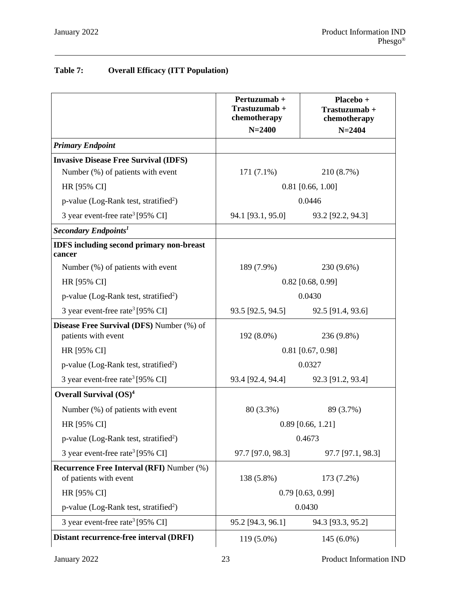# **Table 7: Overall Efficacy (ITT Population)**

|                                                                            | Pertuzumab +<br>Trastuzumab +<br>chemotherapy | Placebo +<br>Trastuzumab+<br>chemotherapy |  |  |
|----------------------------------------------------------------------------|-----------------------------------------------|-------------------------------------------|--|--|
|                                                                            | $N = 2400$                                    | $N = 2404$                                |  |  |
| <b>Primary Endpoint</b>                                                    |                                               |                                           |  |  |
| <b>Invasive Disease Free Survival (IDFS)</b>                               |                                               |                                           |  |  |
| Number (%) of patients with event                                          | $171(7.1\%)$                                  | 210 (8.7%)                                |  |  |
| HR [95% CI]                                                                |                                               | $0.81$ [0.66, 1.00]                       |  |  |
| p-value (Log-Rank test, stratified <sup>2</sup> )                          | 0.0446                                        |                                           |  |  |
| 3 year event-free rate <sup>3</sup> [95% CI]                               | 94.1 [93.1, 95.0]                             | 93.2 [92.2, 94.3]                         |  |  |
| Secondary Endpoints <sup>1</sup>                                           |                                               |                                           |  |  |
| <b>IDFS</b> including second primary non-breast<br>cancer                  |                                               |                                           |  |  |
| Number (%) of patients with event                                          | 189 (7.9%)                                    | 230 (9.6%)                                |  |  |
| HR [95% CI]                                                                | $0.82$ [0.68, 0.99]                           |                                           |  |  |
| p-value (Log-Rank test, stratified <sup>2</sup> )                          |                                               | 0.0430                                    |  |  |
| 3 year event-free rate <sup>3</sup> [95% CI]                               | 93.5 [92.5, 94.5]                             | 92.5 [91.4, 93.6]                         |  |  |
| <b>Disease Free Survival (DFS)</b> Number (%) of<br>patients with event    | $192(8.0\%)$                                  | 236 (9.8%)                                |  |  |
| HR [95% CI]                                                                |                                               | $0.81$ [0.67, 0.98]                       |  |  |
| p-value (Log-Rank test, stratified <sup>2</sup> )                          |                                               | 0.0327                                    |  |  |
| 3 year event-free rate <sup>3</sup> [95% CI]                               | 93.4 [92.4, 94.4]                             | 92.3 [91.2, 93.4]                         |  |  |
| Overall Survival $(OS)^4$                                                  |                                               |                                           |  |  |
| Number (%) of patients with event                                          | 80 (3.3%)                                     | 89 (3.7%)                                 |  |  |
| HR [95% CI]                                                                |                                               | $0.89$ [0.66, 1.21]                       |  |  |
| p-value (Log-Rank test, stratified <sup>2</sup> )                          |                                               | 0.4673                                    |  |  |
| 3 year event-free rate <sup>3</sup> [95% CI]                               | 97.7 [97.0, 98.3]                             | 97.7 [97.1, 98.3]                         |  |  |
| <b>Recurrence Free Interval (RFI)</b> Number (%)<br>of patients with event | 138 (5.8%)                                    | 173 (7.2%)                                |  |  |
| HR [95% CI]                                                                |                                               | $0.79$ [0.63, 0.99]                       |  |  |
| p-value (Log-Rank test, stratified <sup>2</sup> )                          |                                               | 0.0430                                    |  |  |
| 3 year event-free rate <sup>3</sup> [95% CI]                               | 95.2 [94.3, 96.1]                             | 94.3 [93.3, 95.2]                         |  |  |
| Distant recurrence-free interval (DRFI)                                    | 119 (5.0%)                                    | $145(6.0\%)$                              |  |  |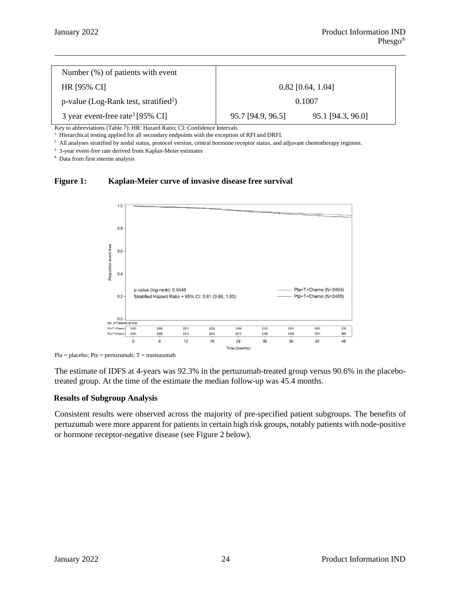| Number $(\%)$ of patients with event                 |                                        |  |  |
|------------------------------------------------------|----------------------------------------|--|--|
| <b>HR [95% CI]</b>                                   | $0.82$ [0.64, 1.04]                    |  |  |
| $p$ -value (Log-Rank test, stratified <sup>2</sup> ) | 0.1007                                 |  |  |
| 3 year event-free rate <sup>3</sup> [95% CI]         | 95.1 [94.3, 96.0]<br>95.7 [94.9, 96.5] |  |  |

Key to abbreviations (Table 7): HR: Hazard Ratio; CI: Confidence Intervals

<sup>1.</sup> Hierarchical testing applied for all secondary endpoints with the exception of RFI and DRFI.

2. All analyses stratified by nodal status, protocol version, central hormone receptor status, and adjuvant chemotherapy regimen.

3. 3-year event-free rate derived from Kaplan-Meier estimates

4. Data from first interim analysis

#### **Figure 1: Kaplan-Meier curve of invasive disease free survival**



Pla = placebo; Ptz = pertuzumab; T = trastuzumab

The estimate of IDFS at 4-years was 92.3% in the pertuzumab-treated group versus 90.6% in the placebotreated group. At the time of the estimate the median follow-up was 45.4 months.

#### **Results of Subgroup Analysis**

Consistent results were observed across the majority of pre-specified patient subgroups. The benefits of pertuzumab were more apparent for patients in certain high risk groups, notably patients with node-positive or hormone receptor-negative disease (see Figure 2 below).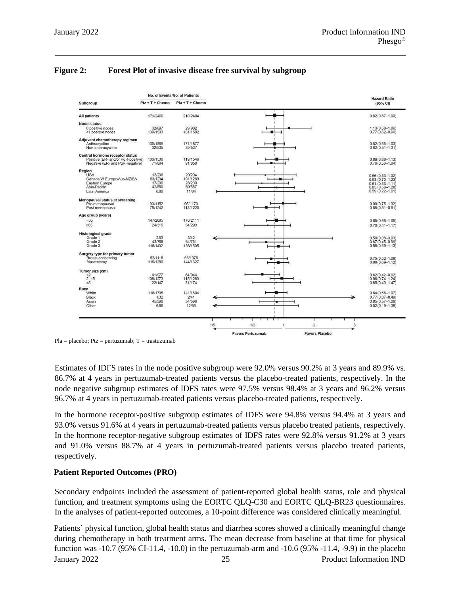|                                                                       | No. of Events/No. of Patients |                    |     |                          |   |                       |   | <b>Hazard Ratio</b>                        |
|-----------------------------------------------------------------------|-------------------------------|--------------------|-----|--------------------------|---|-----------------------|---|--------------------------------------------|
| Subgroup                                                              | $Ptz + T + Chemo$             | $Pla + T + Chemo$  |     |                          |   |                       |   | (95% CI)                                   |
| All patients                                                          | 171/2400                      | 210/2404           |     |                          |   |                       |   | $0.82(0.67 - 1.00)$                        |
| <b>Nodal status</b>                                                   |                               |                    |     |                          |   |                       |   |                                            |
| 0 positive nodes<br>≥1 positive nodes                                 | 32/897<br>139/1503            | 29/902<br>181/1502 |     |                          |   |                       |   | $1.13(0.68 - 1.86)$<br>$0.77(0.62 - 0.96)$ |
| Adjuvant chemotherapy regimen                                         |                               |                    |     |                          |   |                       |   |                                            |
| Anthracycline<br>Non-anthracycline                                    | 139/1865<br>32/535            | 171/1877<br>39/527 |     |                          |   |                       |   | $0.82(0.66 - 1.03)$<br>$0.82(0.51 - 1.31)$ |
| Central hormone receptor status                                       |                               |                    |     |                          |   |                       |   |                                            |
| Positive (ER- and/or PgR-positive)<br>Negative (ER- and PgR-negative) | 100/1536<br>71/864            | 119/1546<br>91/858 |     |                          |   |                       |   | $0.86(0.66 - 1.13)$<br>$0.76(0.56 - 1.04)$ |
| Region                                                                |                               |                    |     |                          |   |                       |   |                                            |
| <b>USA</b>                                                            | 13/296                        | 20/294             |     |                          |   |                       |   | $0.66(0.33 - 1.32)$                        |
| Canada/W Europe/Aus-NZ/SA                                             | 93/1294                       | 101/1289           |     |                          |   |                       |   | $0.93(0.70 - 1.23)$                        |
| Eastern Europe                                                        | 17/200                        | 28/200             |     |                          |   |                       |   | $0.61(0.33 - 1.11)$<br>0.85 (0.56-1.28)    |
| Asia-Pacific                                                          | 42/550                        | 50/557             |     |                          |   |                       |   |                                            |
| Latin America                                                         | 6/60                          | 11/64              |     |                          |   |                       |   | $0.59(0.22 - 1.61)$                        |
| Menopausal status at screening                                        |                               |                    |     |                          |   |                       |   |                                            |
| Pre-menopausal                                                        | 93/1152                       | 96/1173            |     |                          |   |                       |   | $0.99(0.75 - 1.32)$                        |
| Post-menopausal                                                       | 78/1242                       | 113/1220           |     |                          |   |                       |   | $0.68(0.51 - 0.91)$                        |
| Age group (years)                                                     |                               |                    |     |                          |   |                       |   |                                            |
| < 65                                                                  | 147/2085                      | 176/2111           |     |                          |   |                       |   | $0.85(0.68 - 1.05)$                        |
| ≥65                                                                   | 24/315                        | 34/293             |     |                          |   |                       |   | $0.70(0.41 - 1.17)$                        |
| Histological grade                                                    |                               |                    |     |                          |   |                       |   |                                            |
| Grade 1                                                               | 2/53                          | 3/42               |     |                          |   |                       |   | $0.50(0.08 - 3.03)$                        |
| Grade 2                                                               | 43/768                        | 64/761             |     |                          |   |                       |   | $0.67(0.45 - 0.99)$                        |
| Grade 3                                                               | 118/1492                      | 136/1505           |     |                          |   |                       |   | $0.88(0.69 - 1.13)$                        |
| Surgery type for primary tumor                                        |                               |                    |     |                          |   |                       |   |                                            |
| Breast-conserving                                                     | 52/1118                       | 66/1076            |     |                          |   |                       |   | $0.75(0.52 - 1.08)$                        |
| Mastectomy                                                            | 119/1280                      | 144/1327           |     |                          |   |                       |   | $0.88(0.69 - 1.12)$                        |
|                                                                       |                               |                    |     |                          |   |                       |   |                                            |
| Tumor size (cm)<br>$\scriptstyle{<}2$                                 | 41/977                        | 64/944             |     |                          |   |                       |   | $0.62(0.42 - 0.92)$                        |
| $2 - 5$                                                               | 108/1273                      | 115/1283           |     |                          |   |                       |   | $0.96(0.74 - 1.24)$                        |
| $\geq 5$                                                              | 22/147                        | 31/174             |     |                          |   |                       |   | $0.85(0.49 - 1.47)$                        |
| Race                                                                  |                               |                    |     |                          |   |                       |   |                                            |
| White                                                                 | 118/1705                      | 141/1694           |     |                          |   |                       |   | $0.84(0.66 - 1.07)$                        |
| Black                                                                 | 1/32                          | 2/41               |     |                          |   |                       |   | $0.77(0.07 - 8.49)$                        |
| Asian                                                                 | 45/590                        | 54/598             |     |                          |   |                       |   | $0.85(0.57 - 1.26)$                        |
| Other                                                                 | 6/66                          | 12/69              |     |                          |   |                       |   | $0.52(0.19 - 1.38)$                        |
|                                                                       |                               |                    |     |                          |   |                       |   |                                            |
|                                                                       |                               |                    |     |                          |   |                       |   |                                            |
|                                                                       |                               |                    | 1/5 | 1/2                      | f | $\overline{c}$        | 5 |                                            |
|                                                                       |                               |                    |     | <b>Favors Pertuzumab</b> |   | <b>Favors Placebo</b> |   |                                            |

### **Figure 2: Forest Plot of invasive disease free survival by subgroup**

 $Pla = placebo; Ptz = pertuzumab; T = trastuzumab$ 

Estimates of IDFS rates in the node positive subgroup were 92.0% versus 90.2% at 3 years and 89.9% vs. 86.7% at 4 years in pertuzumab-treated patients versus the placebo-treated patients, respectively. In the node negative subgroup estimates of IDFS rates were 97.5% versus 98.4% at 3 years and 96.2% versus 96.7% at 4 years in pertuzumab-treated patients versus placebo-treated patients, respectively.

In the hormone receptor-positive subgroup estimates of IDFS were 94.8% versus 94.4% at 3 years and 93.0% versus 91.6% at 4 years in pertuzumab-treated patients versus placebo treated patients, respectively. In the hormone receptor-negative subgroup estimates of IDFS rates were 92.8% versus 91.2% at 3 years and 91.0% versus 88.7% at 4 years in pertuzumab-treated patients versus placebo treated patients, respectively.

### **Patient Reported Outcomes (PRO)**

Secondary endpoints included the assessment of patient-reported global health status, role and physical function, and treatment symptoms using the EORTC QLQ-C30 and EORTC QLQ-BR23 questionnaires. In the analyses of patient-reported outcomes, a 10-point difference was considered clinically meaningful.

January 2022 25 Product Information IND Patients' physical function, global health status and diarrhea scores showed a clinically meaningful change during chemotherapy in both treatment arms. The mean decrease from baseline at that time for physical function was -10.7 (95% CI-11.4, -10.0) in the pertuzumab-arm and -10.6 (95% -11.4, -9.9) in the placebo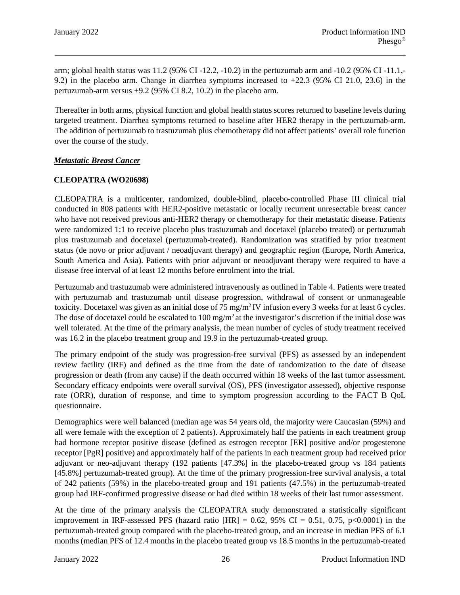arm; global health status was 11.2 (95% CI -12.2, -10.2) in the pertuzumab arm and -10.2 (95% CI -11.1,- 9.2) in the placebo arm. Change in diarrhea symptoms increased to +22.3 (95% CI 21.0, 23.6) in the pertuzumab-arm versus +9.2 (95% CI 8.2, 10.2) in the placebo arm.

Thereafter in both arms, physical function and global health status scores returned to baseline levels during targeted treatment. Diarrhea symptoms returned to baseline after HER2 therapy in the pertuzumab-arm. The addition of pertuzumab to trastuzumab plus chemotherapy did not affect patients' overall role function over the course of the study.

### *Metastatic Breast Cancer*

### **CLEOPATRA (WO20698)**

CLEOPATRA is a multicenter, randomized, double-blind, placebo-controlled Phase III clinical trial conducted in 808 patients with HER2-positive metastatic or locally recurrent unresectable breast cancer who have not received previous anti-HER2 therapy or chemotherapy for their metastatic disease. Patients were randomized 1:1 to receive placebo plus trastuzumab and docetaxel (placebo treated) or pertuzumab plus trastuzumab and docetaxel (pertuzumab-treated). Randomization was stratified by prior treatment status (de novo or prior adjuvant / neoadjuvant therapy) and geographic region (Europe, North America, South America and Asia). Patients with prior adjuvant or neoadjuvant therapy were required to have a disease free interval of at least 12 months before enrolment into the trial.

Pertuzumab and trastuzumab were administered intravenously as outlined in Table 4. Patients were treated with pertuzumab and trastuzumab until disease progression, withdrawal of consent or unmanageable toxicity. Docetaxel was given as an initial dose of 75 mg/m2 IV infusion every 3 weeks for at least 6 cycles. The dose of docetaxel could be escalated to  $100 \text{ mg/m}^2$  at the investigator's discretion if the initial dose was well tolerated. At the time of the primary analysis, the mean number of cycles of study treatment received was 16.2 in the placebo treatment group and 19.9 in the pertuzumab-treated group.

The primary endpoint of the study was progression-free survival (PFS) as assessed by an independent review facility (IRF) and defined as the time from the date of randomization to the date of disease progression or death (from any cause) if the death occurred within 18 weeks of the last tumor assessment. Secondary efficacy endpoints were overall survival (OS), PFS (investigator assessed), objective response rate (ORR), duration of response, and time to symptom progression according to the FACT B QoL questionnaire.

Demographics were well balanced (median age was 54 years old, the majority were Caucasian (59%) and all were female with the exception of 2 patients). Approximately half the patients in each treatment group had hormone receptor positive disease (defined as estrogen receptor [ER] positive and/or progesterone receptor [PgR] positive) and approximately half of the patients in each treatment group had received prior adjuvant or neo-adjuvant therapy (192 patients [47.3%] in the placebo-treated group vs 184 patients [45.8%] pertuzumab-treated group). At the time of the primary progression-free survival analysis, a total of 242 patients (59%) in the placebo-treated group and 191 patients (47.5%) in the pertuzumab-treated group had IRF-confirmed progressive disease or had died within 18 weeks of their last tumor assessment.

At the time of the primary analysis the CLEOPATRA study demonstrated a statistically significant improvement in IRF-assessed PFS (hazard ratio  $|HR| = 0.62$ , 95% CI = 0.51, 0.75, p<0.0001) in the pertuzumab-treated group compared with the placebo-treated group, and an increase in median PFS of 6.1 months (median PFS of 12.4 months in the placebo treated group vs 18.5 months in the pertuzumab-treated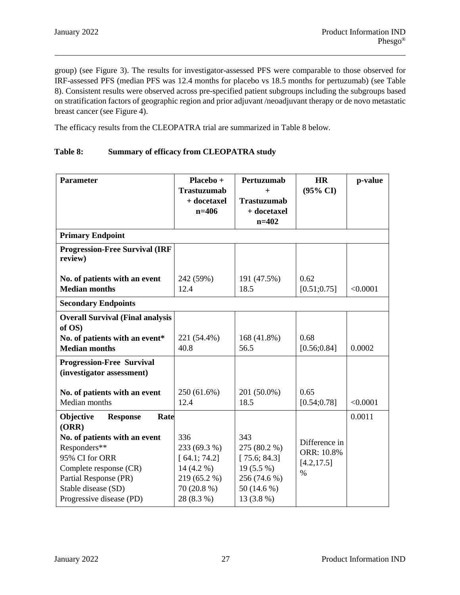group) (see Figure 3). The results for investigator-assessed PFS were comparable to those observed for IRF-assessed PFS (median PFS was 12.4 months for placebo vs 18.5 months for pertuzumab) (see Table 8). Consistent results were observed across pre-specified patient subgroups including the subgroups based on stratification factors of geographic region and prior adjuvant /neoadjuvant therapy or de novo metastatic breast cancer (see Figure 4).

The efficacy results from the CLEOPATRA trial are summarized in Table 8 below.

### **Table 8: Summary of efficacy from CLEOPATRA study**

| <b>Parameter</b>                                  | Placebo +<br><b>Trastuzumab</b> | Pertuzumab<br>$+$                 | <b>HR</b><br>$(95\% \text{ CI})$ | p-value  |  |  |  |
|---------------------------------------------------|---------------------------------|-----------------------------------|----------------------------------|----------|--|--|--|
|                                                   | + docetaxel<br>$n = 406$        | <b>Trastuzumab</b><br>+ docetaxel |                                  |          |  |  |  |
|                                                   |                                 | $n=402$                           |                                  |          |  |  |  |
| <b>Primary Endpoint</b>                           |                                 |                                   |                                  |          |  |  |  |
| <b>Progression-Free Survival (IRF</b><br>review)  |                                 |                                   |                                  |          |  |  |  |
| No. of patients with an event                     | 242 (59%)                       | 191 (47.5%)                       | 0.62                             |          |  |  |  |
| <b>Median months</b>                              | 12.4                            | 18.5                              | [0.51; 0.75]                     | < 0.0001 |  |  |  |
| <b>Secondary Endpoints</b>                        |                                 |                                   |                                  |          |  |  |  |
| <b>Overall Survival (Final analysis</b><br>of OS) |                                 |                                   |                                  |          |  |  |  |
| No. of patients with an event*                    | 221 (54.4%)                     | 168 (41.8%)                       | 0.68                             |          |  |  |  |
| <b>Median months</b>                              | 40.8                            | 56.5                              | [0.56; 0.84]                     | 0.0002   |  |  |  |
| <b>Progression-Free Survival</b>                  |                                 |                                   |                                  |          |  |  |  |
| (investigator assessment)                         |                                 |                                   |                                  |          |  |  |  |
| No. of patients with an event                     | 250 (61.6%)                     | 201 (50.0%)                       | 0.65                             |          |  |  |  |
| Median months                                     | 12.4                            | 18.5                              | [0.54; 0.78]                     | < 0.0001 |  |  |  |
| Objective<br>Rate<br><b>Response</b>              |                                 |                                   |                                  | 0.0011   |  |  |  |
| (ORR)                                             |                                 |                                   |                                  |          |  |  |  |
| No. of patients with an event                     | 336                             | 343                               | Difference in                    |          |  |  |  |
| Responders**                                      | 233 (69.3 %)                    | 275 (80.2 %)                      | ORR: 10.8%                       |          |  |  |  |
| 95% CI for ORR                                    | [64.1; 74.2]                    | [75.6; 84.3]                      | [4.2, 17.5]                      |          |  |  |  |
| Complete response (CR)                            | 14 (4.2 %)                      | $19(5.5\%)$                       | $\%$                             |          |  |  |  |
| Partial Response (PR)                             | 219 (65.2 %)                    | 256 (74.6 %)                      |                                  |          |  |  |  |
| Stable disease (SD)                               | 70 (20.8 %)                     | 50 (14.6 %)                       |                                  |          |  |  |  |
| Progressive disease (PD)                          | 28 (8.3 %)                      | 13 (3.8 %)                        |                                  |          |  |  |  |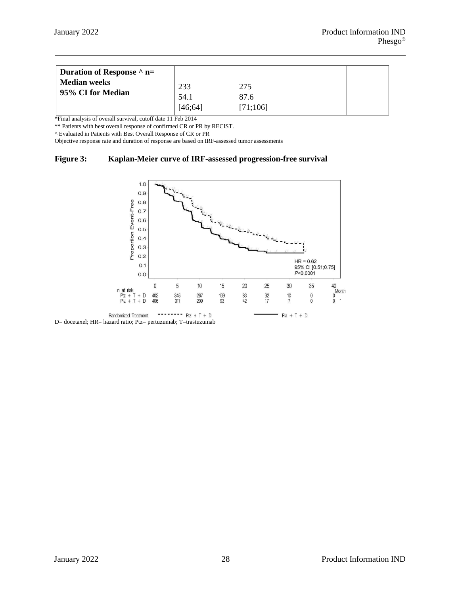| Duration of Response $\wedge$ n=<br><b>Median weeks</b><br>95% CI for Median | 233    | 275     |  |
|------------------------------------------------------------------------------|--------|---------|--|
|                                                                              | 54.1   | 87.6    |  |
|                                                                              | 146:64 | 71;106] |  |

**\***Final analysis of overall survival, cutoff date 11 Feb 2014

\*\* Patients with best overall response of confirmed CR or PR by RECIST.

^ Evaluated in Patients with Best Overall Response of CR or PR

Objective response rate and duration of response are based on IRF-assessed tumor assessments

#### **Figure 3: Kaplan-Meier curve of IRF-assessed progression-free survival**

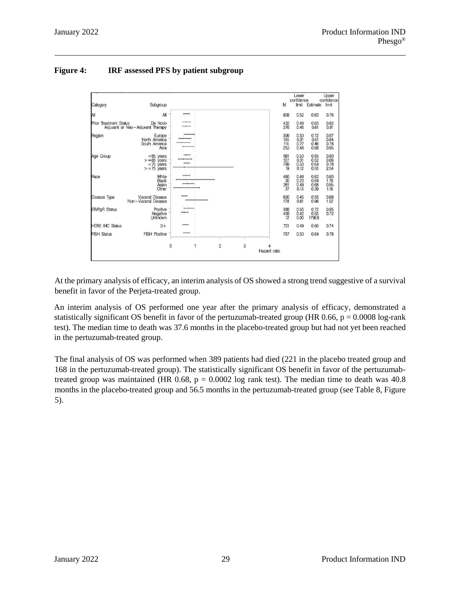# **Figure 4: IRF assessed PFS by patient subgroup**



At the primary analysis of efficacy, an interim analysis of OS showed a strong trend suggestive of a survival benefit in favor of the Perjeta-treated group.

An interim analysis of OS performed one year after the primary analysis of efficacy, demonstrated a statistically significant OS benefit in favor of the pertuzumab-treated group (HR 0.66,  $p = 0.0008$  log-rank test). The median time to death was 37.6 months in the placebo-treated group but had not yet been reached in the pertuzumab-treated group.

The final analysis of OS was performed when 389 patients had died (221 in the placebo treated group and 168 in the pertuzumab-treated group). The statistically significant OS benefit in favor of the pertuzumabtreated group was maintained (HR 0.68,  $p = 0.0002$  log rank test). The median time to death was 40.8 months in the placebo-treated group and 56.5 months in the pertuzumab-treated group (see Table 8, Figure 5).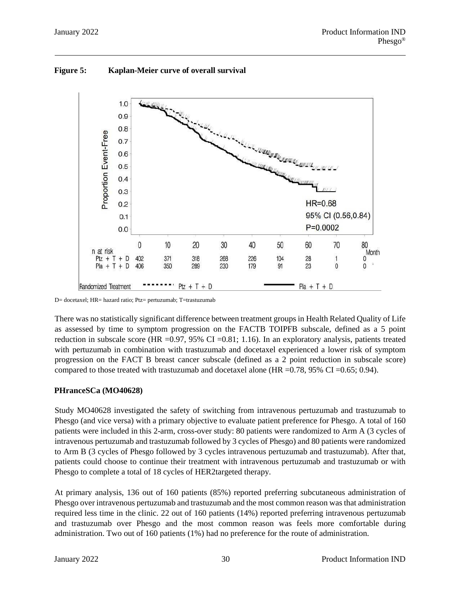

**Figure 5: Kaplan-Meier curve of overall survival**

D= docetaxel; HR= hazard ratio; Ptz= pertuzumab; T=trastuzumab

There was no statistically significant difference between treatment groups in Health Related Quality of Life as assessed by time to symptom progression on the FACTB TOIPFB subscale, defined as a 5 point reduction in subscale score (HR =  $0.97$ , 95% CI =  $0.81$ ; 1.16). In an exploratory analysis, patients treated with pertuzumab in combination with trastuzumab and docetaxel experienced a lower risk of symptom progression on the FACT B breast cancer subscale (defined as a 2 point reduction in subscale score) compared to those treated with trastuzumab and docetaxel alone (HR = $0.78$ ,  $95\%$  CI = $0.65$ ; 0.94).

### **PHranceSCa (MO40628)**

Study MO40628 investigated the safety of switching from intravenous pertuzumab and trastuzumab to Phesgo (and vice versa) with a primary objective to evaluate patient preference for Phesgo. A total of 160 patients were included in this 2-arm, cross-over study: 80 patients were randomized to Arm A (3 cycles of intravenous pertuzumab and trastuzumab followed by 3 cycles of Phesgo) and 80 patients were randomized to Arm B (3 cycles of Phesgo followed by 3 cycles intravenous pertuzumab and trastuzumab). After that, patients could choose to continue their treatment with intravenous pertuzumab and trastuzumab or with Phesgo to complete a total of 18 cycles of HER2targeted therapy.

At primary analysis, 136 out of 160 patients (85%) reported preferring subcutaneous administration of Phesgo over intravenous pertuzumab and trastuzumab and the most common reason was that administration required less time in the clinic. 22 out of 160 patients (14%) reported preferring intravenous pertuzumab and trastuzumab over Phesgo and the most common reason was feels more comfortable during administration. Two out of 160 patients (1%) had no preference for the route of administration.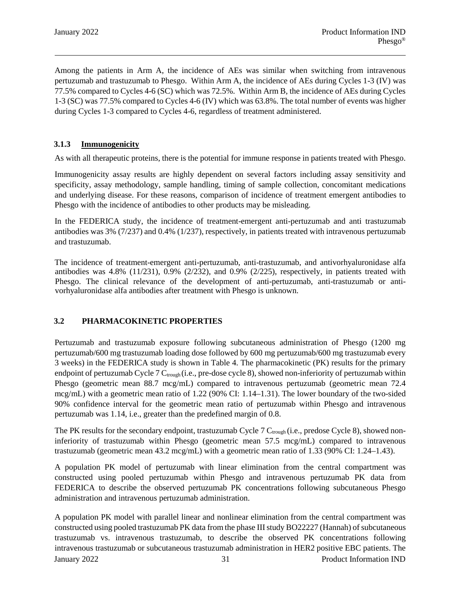Among the patients in Arm A, the incidence of AEs was similar when switching from intravenous pertuzumab and trastuzumab to Phesgo. Within Arm A, the incidence of AEs during Cycles 1-3 (IV) was 77.5% compared to Cycles 4-6 (SC) which was 72.5%. Within Arm B, the incidence of AEs during Cycles 1-3 (SC) was 77.5% compared to Cycles 4-6 (IV) which was 63.8%. The total number of events was higher during Cycles 1-3 compared to Cycles 4-6, regardless of treatment administered.

### **3.1.3 Immunogenicity**

As with all therapeutic proteins, there is the potential for immune response in patients treated with Phesgo.

Immunogenicity assay results are highly dependent on several factors including assay sensitivity and specificity, assay methodology, sample handling, timing of sample collection, concomitant medications and underlying disease. For these reasons, comparison of incidence of treatment emergent antibodies to Phesgo with the incidence of antibodies to other products may be misleading.

In the FEDERICA study, the incidence of treatment-emergent anti-pertuzumab and anti trastuzumab antibodies was 3% (7/237) and 0.4% (1/237), respectively, in patients treated with intravenous pertuzumab and trastuzumab.

The incidence of treatment-emergent anti-pertuzumab, anti-trastuzumab, and antivorhyaluronidase alfa antibodies was 4.8% (11/231), 0.9% (2/232), and 0.9% (2/225), respectively, in patients treated with Phesgo. The clinical relevance of the development of anti-pertuzumab, anti-trastuzumab or antivorhyaluronidase alfa antibodies after treatment with Phesgo is unknown.

### **3.2 PHARMACOKINETIC PROPERTIES**

Pertuzumab and trastuzumab exposure following subcutaneous administration of Phesgo (1200 mg pertuzumab/600 mg trastuzumab loading dose followed by 600 mg pertuzumab/600 mg trastuzumab every 3 weeks) in the FEDERICA study is shown in Table 4. The pharmacokinetic (PK) results for the primary endpoint of pertuzumab Cycle 7  $C_{\text{trough}}$  (i.e., pre-dose cycle 8), showed non-inferiority of pertuzumab within Phesgo (geometric mean 88.7 mcg/mL) compared to intravenous pertuzumab (geometric mean 72.4 mcg/mL) with a geometric mean ratio of 1.22 (90% CI: 1.14–1.31). The lower boundary of the two-sided 90% confidence interval for the geometric mean ratio of pertuzumab within Phesgo and intravenous pertuzumab was 1.14, i.e., greater than the predefined margin of 0.8.

The PK results for the secondary endpoint, trastuzumab Cycle 7 C<sub>trough</sub> (i.e., predose Cycle 8), showed noninferiority of trastuzumab within Phesgo (geometric mean 57.5 mcg/mL) compared to intravenous trastuzumab (geometric mean 43.2 mcg/mL) with a geometric mean ratio of 1.33 (90% CI: 1.24–1.43).

A population PK model of pertuzumab with linear elimination from the central compartment was constructed using pooled pertuzumab within Phesgo and intravenous pertuzumab PK data from FEDERICA to describe the observed pertuzumab PK concentrations following subcutaneous Phesgo administration and intravenous pertuzumab administration.

January 2022 31 Product Information IND A population PK model with parallel linear and nonlinear elimination from the central compartment was constructed using pooled trastuzumab PK data from the phase III study BO22227 (Hannah) of subcutaneous trastuzumab vs. intravenous trastuzumab, to describe the observed PK concentrations following intravenous trastuzumab or subcutaneous trastuzumab administration in HER2 positive EBC patients. The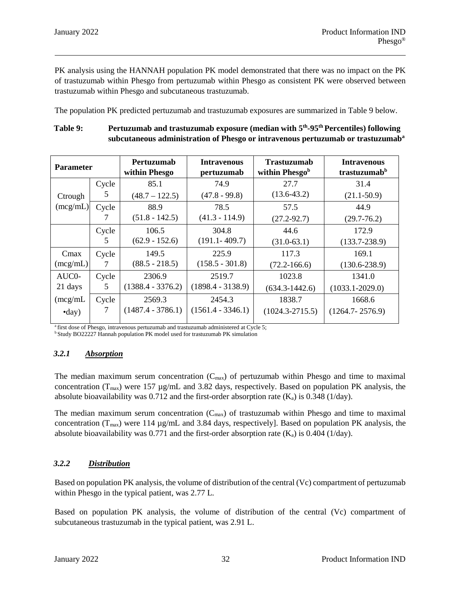PK analysis using the HANNAH population PK model demonstrated that there was no impact on the PK of trastuzumab within Phesgo from pertuzumab within Phesgo as consistent PK were observed between trastuzumab within Phesgo and subcutaneous trastuzumab.

The population PK predicted pertuzumab and trastuzumab exposures are summarized in Table 9 below.

### Table 9: **Pertuzumab and trastuzumab exposure (median with 5<sup>th</sup>-95<sup>th</sup> Percentiles) following subcutaneous administration of Phesgo or intravenous pertuzumab or trastuzumaba**

| <b>Parameter</b> |       | Pertuzumab<br>within Phesgo | <b>Intravenous</b><br>pertuzumab | <b>Trastuzumab</b><br>within Phesgob | <b>Intravenous</b><br>trastuzumab <sup>b</sup> |
|------------------|-------|-----------------------------|----------------------------------|--------------------------------------|------------------------------------------------|
|                  | Cycle | 85.1                        | 74.9                             | 27.7                                 | 31.4                                           |
| Ctrough          | 5     | $(48.7 - 122.5)$            | $(47.8 - 99.8)$                  | $(13.6 - 43.2)$                      | $(21.1 - 50.9)$                                |
| (mcg/mL)         | Cycle | 88.9                        | 78.5                             | 57.5                                 | 44.9                                           |
|                  |       | $(51.8 - 142.5)$            | $(41.3 - 114.9)$                 | $(27.2 - 92.7)$                      | $(29.7 - 76.2)$                                |
|                  | Cycle | 106.5                       | 304.8                            | 44.6                                 | 172.9                                          |
|                  | 5     | $(62.9 - 152.6)$            | $(191.1 - 409.7)$                | $(31.0-63.1)$                        | $(133.7 - 238.9)$                              |
| Cmax             | Cycle | 149.5                       | 225.9                            | 117.3                                | 169.1                                          |
| (mcg/mL)         | 7     | $(88.5 - 218.5)$            | $(158.5 - 301.8)$                | $(72.2 - 166.6)$                     | $(130.6 - 238.9)$                              |
| AUC0-            | Cycle | 2306.9                      | 2519.7                           | 1023.8                               | 1341.0                                         |
| 21 days          | 5     | $(1388.4 - 3376.2)$         | $(1898.4 - 3138.9)$              | $(634.3 - 1442.6)$                   | $(1033.1 - 2029.0)$                            |
| (mcg/mL)         | Cycle | 2569.3                      | 2454.3                           | 1838.7                               | 1668.6                                         |
| $\text{-day}$    |       | $(1487.4 - 3786.1)$         | $(1561.4 - 3346.1)$              | $(1024.3 - 2715.5)$                  | $(1264.7 - 2576.9)$                            |

<sup>a</sup> first dose of Phesgo, intravenous pertuzumab and trastuzumab administered at Cycle 5;

<sup>b</sup> Study BO22227 Hannah population PK model used for trastuzumab PK simulation

# *3.2.1 Absorption*

The median maximum serum concentration  $(C_{\text{max}})$  of pertuzumab within Phesgo and time to maximal concentration ( $T_{max}$ ) were 157  $\mu$ g/mL and 3.82 days, respectively. Based on population PK analysis, the absolute bioavailability was 0.712 and the first-order absorption rate  $(K_a)$  is 0.348 (1/day).

The median maximum serum concentration  $(C_{max})$  of trastuzumab within Phesgo and time to maximal concentration ( $T_{max}$ ) were 114  $\mu$ g/mL and 3.84 days, respectively]. Based on population PK analysis, the absolute bioavailability was 0.771 and the first-order absorption rate  $(K_a)$  is 0.404 (1/day).

# *3.2.2 Distribution*

Based on population PK analysis, the volume of distribution of the central (Vc) compartment of pertuzumab within Phesgo in the typical patient, was 2.77 L.

Based on population PK analysis, the volume of distribution of the central (Vc) compartment of subcutaneous trastuzumab in the typical patient, was 2.91 L.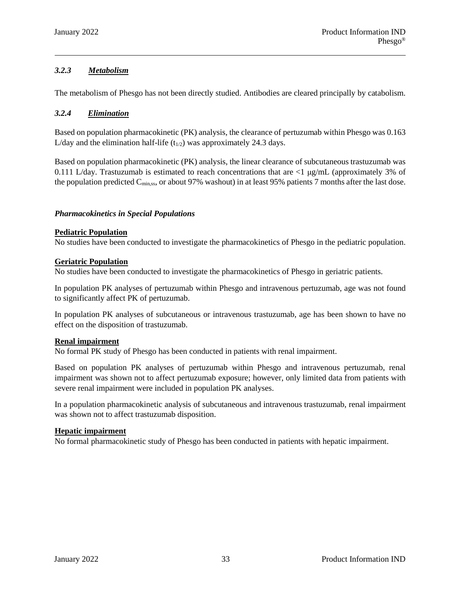# *3.2.3 Metabolism*

The metabolism of Phesgo has not been directly studied. Antibodies are cleared principally by catabolism.

# *3.2.4 Elimination*

Based on population pharmacokinetic (PK) analysis, the clearance of pertuzumab within Phesgo was 0.163 L/day and the elimination half-life  $(t_{1/2})$  was approximately 24.3 days.

Based on population pharmacokinetic (PK) analysis, the linear clearance of subcutaneous trastuzumab was 0.111 L/day. Trastuzumab is estimated to reach concentrations that are <1 μg/mL (approximately 3% of the population predicted  $C_{\text{min,ss}}$ , or about 97% washout) in at least 95% patients 7 months after the last dose.

### *Pharmacokinetics in Special Populations*

### **Pediatric Population**

No studies have been conducted to investigate the pharmacokinetics of Phesgo in the pediatric population.

### **Geriatric Population**

No studies have been conducted to investigate the pharmacokinetics of Phesgo in geriatric patients.

In population PK analyses of pertuzumab within Phesgo and intravenous pertuzumab, age was not found to significantly affect PK of pertuzumab.

In population PK analyses of subcutaneous or intravenous trastuzumab, age has been shown to have no effect on the disposition of trastuzumab.

### **Renal impairment**

No formal PK study of Phesgo has been conducted in patients with renal impairment.

Based on population PK analyses of pertuzumab within Phesgo and intravenous pertuzumab, renal impairment was shown not to affect pertuzumab exposure; however, only limited data from patients with severe renal impairment were included in population PK analyses.

In a population pharmacokinetic analysis of subcutaneous and intravenous trastuzumab, renal impairment was shown not to affect trastuzumab disposition.

#### **Hepatic impairment**

No formal pharmacokinetic study of Phesgo has been conducted in patients with hepatic impairment.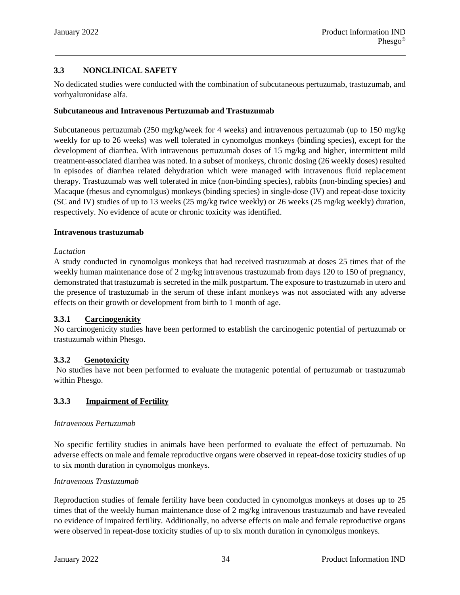# **3.3 NONCLINICAL SAFETY**

No dedicated studies were conducted with the combination of subcutaneous pertuzumab, trastuzumab, and vorhyaluronidase alfa.

### **Subcutaneous and Intravenous Pertuzumab and Trastuzumab**

Subcutaneous pertuzumab (250 mg/kg/week for 4 weeks) and intravenous pertuzumab (up to 150 mg/kg weekly for up to 26 weeks) was well tolerated in cynomolgus monkeys (binding species), except for the development of diarrhea. With intravenous pertuzumab doses of 15 mg/kg and higher, intermittent mild treatment-associated diarrhea was noted. In a subset of monkeys, chronic dosing (26 weekly doses) resulted in episodes of diarrhea related dehydration which were managed with intravenous fluid replacement therapy. Trastuzumab was well tolerated in mice (non-binding species), rabbits (non-binding species) and Macaque (rhesus and cynomolgus) monkeys (binding species) in single-dose (IV) and repeat-dose toxicity (SC and IV) studies of up to 13 weeks (25 mg/kg twice weekly) or 26 weeks (25 mg/kg weekly) duration, respectively. No evidence of acute or chronic toxicity was identified.

#### **Intravenous trastuzumab**

### *Lactation*

A study conducted in cynomolgus monkeys that had received trastuzumab at doses 25 times that of the weekly human maintenance dose of 2 mg/kg intravenous trastuzumab from days 120 to 150 of pregnancy, demonstrated that trastuzumab is secreted in the milk postpartum. The exposure to trastuzumab in utero and the presence of trastuzumab in the serum of these infant monkeys was not associated with any adverse effects on their growth or development from birth to 1 month of age.

### **3.3.1 Carcinogenicity**

No carcinogenicity studies have been performed to establish the carcinogenic potential of pertuzumab or trastuzumab within Phesgo.

### **3.3.2 Genotoxicity**

No studies have not been performed to evaluate the mutagenic potential of pertuzumab or trastuzumab within Phesgo.

# **3.3.3 Impairment of Fertility**

### *Intravenous Pertuzumab*

No specific fertility studies in animals have been performed to evaluate the effect of pertuzumab. No adverse effects on male and female reproductive organs were observed in repeat-dose toxicity studies of up to six month duration in cynomolgus monkeys.

### *Intravenous Trastuzumab*

Reproduction studies of female fertility have been conducted in cynomolgus monkeys at doses up to 25 times that of the weekly human maintenance dose of 2 mg/kg intravenous trastuzumab and have revealed no evidence of impaired fertility. Additionally, no adverse effects on male and female reproductive organs were observed in repeat-dose toxicity studies of up to six month duration in cynomolgus monkeys.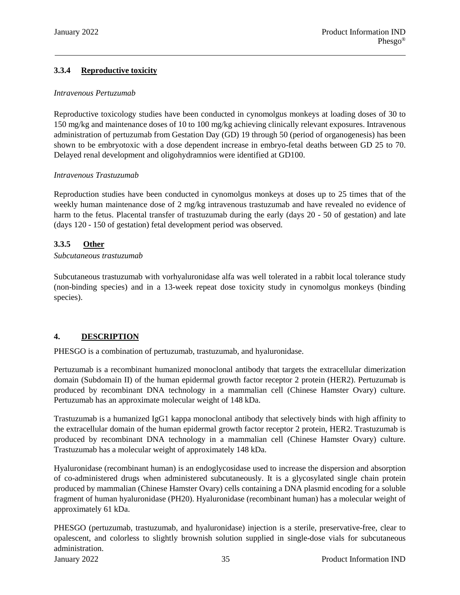# **3.3.4 Reproductive toxicity**

### *Intravenous Pertuzumab*

Reproductive toxicology studies have been conducted in cynomolgus monkeys at loading doses of 30 to 150 mg/kg and maintenance doses of 10 to 100 mg/kg achieving clinically relevant exposures. Intravenous administration of pertuzumab from Gestation Day (GD) 19 through 50 (period of organogenesis) has been shown to be embryotoxic with a dose dependent increase in embryo-fetal deaths between GD 25 to 70. Delayed renal development and oligohydramnios were identified at GD100.

### *Intravenous Trastuzumab*

Reproduction studies have been conducted in cynomolgus monkeys at doses up to 25 times that of the weekly human maintenance dose of 2 mg/kg intravenous trastuzumab and have revealed no evidence of harm to the fetus. Placental transfer of trastuzumab during the early (days 20 - 50 of gestation) and late (days 120 - 150 of gestation) fetal development period was observed.

### **3.3.5 Other**

### *Subcutaneous trastuzumab*

Subcutaneous trastuzumab with vorhyaluronidase alfa was well tolerated in a rabbit local tolerance study (non-binding species) and in a 13-week repeat dose toxicity study in cynomolgus monkeys (binding species).

# **4. DESCRIPTION**

PHESGO is a combination of pertuzumab, trastuzumab, and hyaluronidase.

Pertuzumab is a recombinant humanized monoclonal antibody that targets the extracellular dimerization domain (Subdomain II) of the human epidermal growth factor receptor 2 protein (HER2). Pertuzumab is produced by recombinant DNA technology in a mammalian cell (Chinese Hamster Ovary) culture. Pertuzumab has an approximate molecular weight of 148 kDa.

Trastuzumab is a humanized IgG1 kappa monoclonal antibody that selectively binds with high affinity to the extracellular domain of the human epidermal growth factor receptor 2 protein, HER2. Trastuzumab is produced by recombinant DNA technology in a mammalian cell (Chinese Hamster Ovary) culture. Trastuzumab has a molecular weight of approximately 148 kDa.

Hyaluronidase (recombinant human) is an endoglycosidase used to increase the dispersion and absorption of co-administered drugs when administered subcutaneously. It is a glycosylated single chain protein produced by mammalian (Chinese Hamster Ovary) cells containing a DNA plasmid encoding for a soluble fragment of human hyaluronidase (PH20). Hyaluronidase (recombinant human) has a molecular weight of approximately 61 kDa.

PHESGO (pertuzumab, trastuzumab, and hyaluronidase) injection is a sterile, preservative-free, clear to opalescent, and colorless to slightly brownish solution supplied in single-dose vials for subcutaneous administration.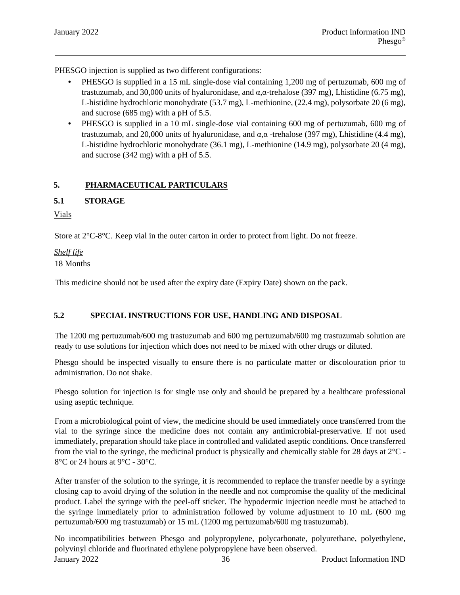PHESGO injection is supplied as two different configurations:

- PHESGO is supplied in a 15 mL single-dose vial containing 1,200 mg of pertuzumab, 600 mg of trastuzumab, and 30,000 units of hyaluronidase, and  $\alpha$ , $\alpha$ -trehalose (397 mg), Lhistidine (6.75 mg), L-histidine hydrochloric monohydrate (53.7 mg), L-methionine, (22.4 mg), polysorbate 20 (6 mg), and sucrose (685 mg) with a pH of 5.5.
- PHESGO is supplied in a 10 mL single-dose vial containing 600 mg of pertuzumab, 600 mg of trastuzumab, and 20,000 units of hyaluronidase, and α,α -trehalose (397 mg), Lhistidine (4.4 mg), L-histidine hydrochloric monohydrate (36.1 mg), L-methionine (14.9 mg), polysorbate 20 (4 mg), and sucrose (342 mg) with a pH of 5.5.

# **5. PHARMACEUTICAL PARTICULARS**

### **5.1 STORAGE**

Vials

Store at 2°C-8°C. Keep vial in the outer carton in order to protect from light. Do not freeze.

### *Shelf life*

18 Months

This medicine should not be used after the expiry date (Expiry Date) shown on the pack.

### **5.2 SPECIAL INSTRUCTIONS FOR USE, HANDLING AND DISPOSAL**

The 1200 mg pertuzumab/600 mg trastuzumab and 600 mg pertuzumab/600 mg trastuzumab solution are ready to use solutions for injection which does not need to be mixed with other drugs or diluted.

Phesgo should be inspected visually to ensure there is no particulate matter or discolouration prior to administration. Do not shake.

Phesgo solution for injection is for single use only and should be prepared by a healthcare professional using aseptic technique.

From a microbiological point of view, the medicine should be used immediately once transferred from the vial to the syringe since the medicine does not contain any antimicrobial-preservative. If not used immediately, preparation should take place in controlled and validated aseptic conditions. Once transferred from the vial to the syringe, the medicinal product is physically and chemically stable for 28 days at 2°C - 8°C or 24 hours at 9°C - 30°C.

After transfer of the solution to the syringe, it is recommended to replace the transfer needle by a syringe closing cap to avoid drying of the solution in the needle and not compromise the quality of the medicinal product. Label the syringe with the peel-off sticker. The hypodermic injection needle must be attached to the syringe immediately prior to administration followed by volume adjustment to 10 mL (600 mg pertuzumab/600 mg trastuzumab) or 15 mL (1200 mg pertuzumab/600 mg trastuzumab).

January 2022 36 Product Information IND No incompatibilities between Phesgo and polypropylene, polycarbonate, polyurethane, polyethylene, polyvinyl chloride and fluorinated ethylene polypropylene have been observed.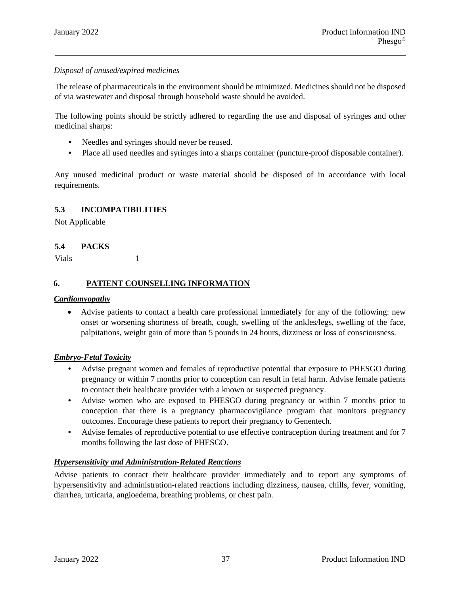### *Disposal of unused/expired medicines*

The release of pharmaceuticals in the environment should be minimized. Medicines should not be disposed of via wastewater and disposal through household waste should be avoided.

The following points should be strictly adhered to regarding the use and disposal of syringes and other medicinal sharps:

- Needles and syringes should never be reused.
- Place all used needles and syringes into a sharps container (puncture-proof disposable container).

Any unused medicinal product or waste material should be disposed of in accordance with local requirements.

### **5.3 INCOMPATIBILITIES**

Not Applicable

### **5.4 PACKS**

Vials 1

### **6. PATIENT COUNSELLING INFORMATION**

#### *Cardiomyopathy*

 Advise patients to contact a health care professional immediately for any of the following: new onset or worsening shortness of breath, cough, swelling of the ankles/legs, swelling of the face, palpitations, weight gain of more than 5 pounds in 24 hours, dizziness or loss of consciousness*.*

#### *Embryo-Fetal Toxicity*

- Advise pregnant women and females of reproductive potential that exposure to PHESGO during pregnancy or within 7 months prior to conception can result in fetal harm. Advise female patients to contact their healthcare provider with a known or suspected pregnancy.
- Advise women who are exposed to PHESGO during pregnancy or within 7 months prior to conception that there is a pregnancy pharmacovigilance program that monitors pregnancy outcomes. Encourage these patients to report their pregnancy to Genentech.
- Advise females of reproductive potential to use effective contraception during treatment and for 7 months following the last dose of PHESGO.

#### *Hypersensitivity and Administration-Related Reactions*

Advise patients to contact their healthcare provider immediately and to report any symptoms of hypersensitivity and administration-related reactions including dizziness, nausea, chills, fever, vomiting, diarrhea, urticaria, angioedema, breathing problems, or chest pain.